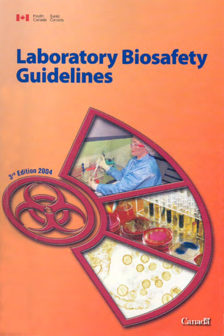

# **Laboratory Biosafety**<br>Guidelines



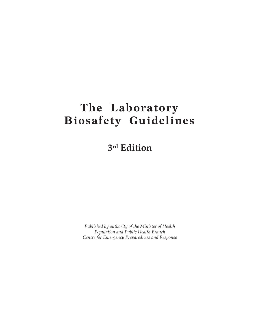# **The Laboratory Biosafety Guidelines**

**3rd Edition**

*Published by authority of the Minister of Health Population and Public Health Branch Centre for Emergency Preparedness and Response*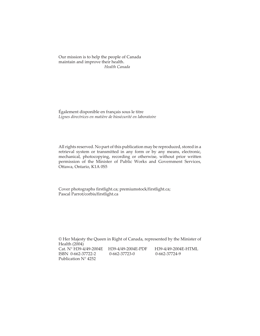Our mission is to help the people of Canada maintain and improve their health. *Health Canada*

Également disponible en français sous le titre *Lignes directrices en matière de biosécurité en laboratoire*

All rights reserved. No part of this publication may be reproduced, stored in a retrieval system or transmitted in any form or by any means, electronic, mechanical, photocopying, recording or otherwise, without prior written permission of the Minister of Public Works and Government Services, Ottawa, Ontario, K1A 0S5

Cover photographs firstlight.ca; premiumstock/firstlight.ca; Pascal Parrot/corbis/firstlight.ca

© Her Majesty the Queen in Right of Canada, represented by the Minister of Health (2004) Cat. N° H39-4/49-2004E H39-4/49-2004E-PDF H39-4/49-2004E-HTML ISBN 0-662-37722-2 0-662-37723-0 0-662-37724-9 Publication N° 4252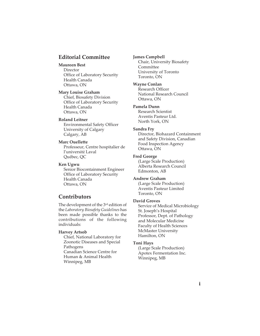### **Editorial Committee**

### **Maureen Best**

Director Office of Laboratory Security Health Canada Ottawa, ON

#### **Mary Louise Graham**

Chief, Biosafety Division Office of Laboratory Security Health Canada Ottawa, ON

### **Roland Leitner**

Environmental Safety Officer University of Calgary Calgary, AB

### **Marc Ouellette**

Professeur, Centre hospitalier de l'université Laval Québec, QC

#### **Ken Ugwu**

Senior Biocontainment Engineer Office of Laboratory Security Health Canada Ottawa, ON

### **Contributors**

The development of the 3<sup>rd</sup> edition of the *Laboratory Biosafety Guidelines* has been made possible thanks to the contributions of the following individuals:

### **Harvey Artsob**

Chief, National Laboratory for Zoonotic Diseases and Special Pathogens Canadian Science Centre for Human & Animal Health Winnipeg, MB

#### **James Campbell**

Chair, University Biosafety Committee University of Toronto Toronto, ON

### **Wayne Conlan**

Research Officer National Research Council Ottawa, ON

### **Pamela Dunn**

Research Scientist Aventis Pasteur Ltd. North York, ON

### **Sandra Fry**

Director, Biohazard Containment and Safety Division, Canadian Food Inspection Agency Ottawa, ON

### **Fred George**

(Large Scale Production) Alberta Research Council Edmonton, AB

### **Andrew Graham**

(Large Scale Production) Aventis Pasteur Limited Toronto, ON

### **David Groves**

Service of Medical Microbiology St. Joseph's Hospital Professor, Dept. of Pathology and Molecular Medicine Faculty of Health Sciences McMaster University Hamilton, ON

#### **Toni Hays**

(Large Scale Production) Apotex Fermentation Inc. Winnipeg, MB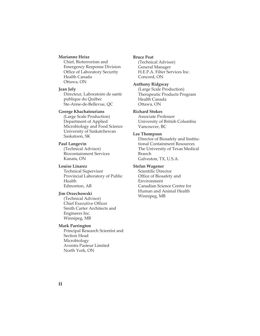#### **Marianne Heisz**

Chief, Bioterrorism and Emergency Response Division Office of Laboratory Security Health Canada Ottawa, ON

#### **Jean Joly**

Directeur, Laboratoire de santé publique du Québec Ste-Anne-de-Bellevue, QC

### **George Khachatourians**

(Large Scale Production) Department of Applied Microbiology and Food Science University of Saskatchewan Saskatoon, SK

### **Paul Langevin**

(Technical Advisor) Biocontainment Services Kanata, ON

### **Louise Linarez**

Technical Supervisor Provincial Laboratory of Public Health Edmonton, AB

#### **Jim Orzechowski**

(Technical Advisor) Chief Executive Officer Smith Carter Architects and Engineers Inc. Winnipeg, MB

### **Mark Parrington**

Principal Research Scientist and Section Head Microbiology Aventis Pasteur Limited North York, ON

### **Bruce Peat**

(Technical Advisor) General Manager H.E.P.A. Filter Services Inc. Concord, ON

### **Anthony Ridgway**

(Large Scale Production) Therapeutic Products Program Health Canada Ottawa, ON

### **Richard Stokes**

Associate Professor University of British Columbia Vancouver, BC

### **Lee Thompson**

Director of Biosafety and Institutional Containment Resources The University of Texas Medical Branch Galveston, TX, U.S.A.

### **Stefan Wagener**

Scientific Director Office of Biosafety and Environment Canadian Science Centre for Human and Animal Health Winnipeg, MB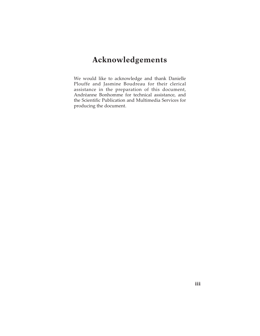# **Acknowledgements**

We would like to acknowledge and thank Danielle Plouffe and Jasmine Boudreau for their clerical assistance in the preparation of this document, Andréanne Bonhomme for technical assistance, and the Scientific Publication and Multimedia Services for producing the document.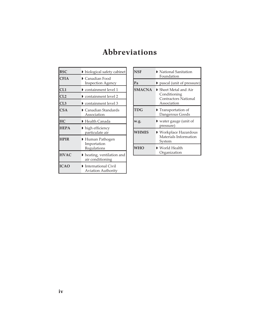# **Abbreviations**

| <b>BSC</b>  | biological safety cabinet                                              |
|-------------|------------------------------------------------------------------------|
| <b>CFIA</b> | Canadian Food<br><b>Inspection Agency</b>                              |
| CL1         | $\triangleright$ containment level 1                                   |
| CL2         | containment level 2                                                    |
| CL3         | containment level 3                                                    |
| <b>CSA</b>  | $\blacktriangleright$ Canadian Standards<br>Association                |
| HC          | $\blacktriangleright$ Health Canada                                    |
| <b>HEPA</b> | $\blacktriangleright$ high efficiency<br>particulate air               |
| <b>HPIR</b> | ▶ Human Pathogen<br>Importation<br>Regulations                         |
| <b>HVAC</b> | heating, ventilation and<br>air conditioning                           |
| <b>ICAO</b> | $\blacktriangleright$ International Civil<br><b>Aviation Authority</b> |

| <b>NSF</b>    | $\blacktriangleright$ National Sanitation<br>Foundation                      |
|---------------|------------------------------------------------------------------------------|
| Pa            | pascal (unit of pressure)                                                    |
| <b>SMACNA</b> | ▶ Sheet Metal and Air<br>Conditioning<br>Contractors National<br>Association |
| <b>TDG</b>    | <b>Transportation of</b><br>Dangerous Goods                                  |
| w.g.          | l water gauge (unit of<br>pressure)                                          |
| WHMIS         | ▶ Workplace Hazardous<br>Materials Information<br>System                     |
| <b>WHO</b>    | $\blacktriangleright$ World Health<br>Organization                           |

L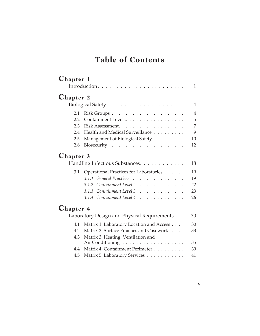# **Table of Contents**

| <b>Chapter 1</b> |                                              |                |
|------------------|----------------------------------------------|----------------|
|                  |                                              | $\mathbf{1}$   |
| <b>Chapter 2</b> |                                              |                |
|                  |                                              | $\overline{4}$ |
| 2.1              |                                              | $\overline{4}$ |
| 2.2              | Containment Levels.                          | 5              |
| 2.3              | Risk Assessment.                             | $\overline{7}$ |
| 2.4              | Health and Medical Surveillance              | 9              |
| 2.5              | Management of Biological Safety              | 10             |
| 2.6              |                                              | 12             |
| <b>Chapter 3</b> | Handling Infectious Substances.              | 18             |
| 3.1              | Operational Practices for Laboratories       | 19             |
|                  | 3.1.1 General Practices.                     | 19             |
|                  | 3.1.2 Containment Level 2.                   | 22             |
|                  | 3.1.3 Containment Level 3.                   | 23             |
|                  | 3.1.4 Containment Level 4.                   | 26             |
| <b>Chapter 4</b> |                                              |                |
|                  | Laboratory Design and Physical Requirements. | 30             |
| 4.1              | Matrix 1: Laboratory Location and Access     | 30             |
| 4.2              | Matrix 2: Surface Finishes and Casework      | 33             |
| 4.3              | Matrix 3: Heating, Ventilation and           |                |

| 4.4 Matrix 4: Containment Perimeter | - 39 |
|-------------------------------------|------|
| 4.5 Matrix 5: Laboratory Services   | -41  |

Air Conditioning . . . . . . . . . . . . . . . . . . 35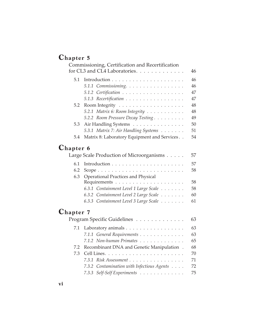# **Chapter 5**

|                  | Commissioning, Certification and Recertification |            |
|------------------|--------------------------------------------------|------------|
|                  | for CL3 and CL4 Laboratories.                    | 46         |
| 5.1              |                                                  | 46         |
|                  | 5.1.1 Commissioning.                             | 46         |
|                  | 5.1.2 Certification                              | 47         |
|                  | 5.1.3 Recertification                            | 47         |
| 5.2              |                                                  | 48         |
|                  | 5.2.1 Matrix 6: Room Integrity                   | 48         |
|                  | 5.2.2 Room Pressure Decay Testing                | 49         |
| 5.3              | Air Handling Systems                             | 50         |
|                  | 5.3.1 Matrix 7: Air Handling Systems             | 51         |
| 5.4              | Matrix 8: Laboratory Equipment and Services      | 54         |
| <b>Chapter 6</b> |                                                  |            |
|                  | Large Scale Production of Microorganisms         | 57         |
| 6.1              |                                                  | 57         |
| 6.2              | Scope                                            | 58         |
| 6.3              | <b>Operational Practices and Physical</b>        |            |
|                  |                                                  | 58         |
|                  | 6.3.1 Containment Level 1 Large Scale            | 58         |
|                  | 6.3.2 Containment Level 2 Large Scale            | 60         |
|                  | 6.3.3 Containment Level 3 Large Scale            | 61         |
| <b>Chapter 7</b> |                                                  |            |
|                  | Program Specific Guidelines                      | 63         |
| 7.1              | Laboratory animals                               | 63         |
|                  | 7.1.1 General Requirements                       | 63         |
|                  | $712 \text{ N}$ $1 \text{ N}$                    | $\sim$ $-$ |

|  | 7.1.2 Non-human Primates                      | 65 |
|--|-----------------------------------------------|----|
|  | 7.2 Recombinant DNA and Genetic Manipulation. | 68 |
|  |                                               | 70 |
|  | 7.3.1 Risk Assessment 71                      |    |
|  | 7.3.2 Contamination with Infectious Agents    | 72 |
|  | 7.3.3 Self-Self Experiments 75                |    |
|  |                                               |    |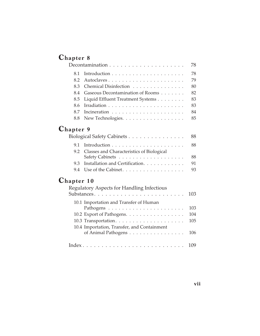# **Chapter 8**

|                   |                                                   | 78  |
|-------------------|---------------------------------------------------|-----|
| 8.1               |                                                   | 78  |
| 8.2               |                                                   | 79  |
| 8.3               | Chemical Disinfection                             | 80  |
| 8.4               | Gaseous Decontamination of Rooms                  | 82  |
| 8.5               | Liquid Effluent Treatment Systems                 | 83  |
| 8.6               |                                                   | 83  |
| 8.7               |                                                   | 84  |
| 8.8               | New Technologies.                                 | 85  |
| <b>Chapter 9</b>  |                                                   |     |
|                   | Biological Safety Cabinets                        | 88  |
| 9.1               |                                                   | 88  |
| 9.2               | Classes and Characteristics of Biological         |     |
|                   |                                                   | 88  |
| 9.3               | Installation and Certification.                   | 91  |
| 9.4               | Use of the Cabinet.                               | 93  |
| <b>Chapter 10</b> |                                                   |     |
|                   | <b>Regulatory Aspects for Handling Infectious</b> |     |
|                   |                                                   | 103 |
|                   | 10.1 Importation and Transfer of Human            |     |
|                   |                                                   | 103 |
|                   | 10.2 Export of Pathogens.                         | 104 |
|                   |                                                   | 105 |
|                   | 10.4 Importation, Transfer, and Containment       |     |
|                   | of Animal Pathogens                               | 106 |
|                   |                                                   | 109 |
|                   |                                                   |     |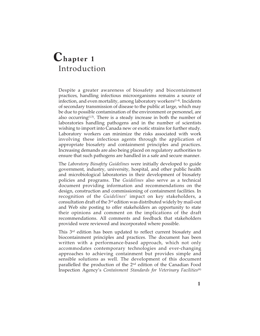# **Chapter 1** Introduction

Despite a greater awareness of biosafety and biocontainment practices, handling infectious microorganisms remains a source of infection, and even mortality, among laboratory workers<sup>(1-4)</sup>. Incidents of secondary transmission of disease to the public at large, which may be due to possible contamination of the environment or personnel, are also occurring $(1,5)$ . There is a steady increase in both the number of laboratories handling pathogens and in the number of scientists wishing to import into Canada new or exotic strains for further study. Laboratory workers can minimize the risks associated with work involving these infectious agents through the application of appropriate biosafety and containment principles and practices. Increasing demands are also being placed on regulatory authorities to ensure that such pathogens are handled in a safe and secure manner.

The *Laboratory Biosafety Guidelines* were initially developed to guide government, industry, university, hospital, and other public health and microbiological laboratories in their development of biosafety policies and programs. The *Guidelines* also serve as a technical document providing information and recommendations on the design, construction and commissioning of containment facilities. In recognition of the *Guidelines*' impact on key stakeholders, a consultation draft of the 3rd edition was distributed widely by mail-out and Web site posting to offer stakeholders an opportunity to state their opinions and comment on the implications of the draft recommendations. All comments and feedback that stakeholders provided were reviewed and incorporated where possible.

This 3<sup>rd</sup> edition has been updated to reflect current biosafety and biocontainment principles and practices. The document has been written with a performance-based approach, which not only accommodates contemporary technologies and ever-changing approaches to achieving containment but provides simple and sensible solutions as well. The development of this document parallelled the production of the 2nd edition of the Canadian Food Inspection Agency's *Containment Standards for Veterinary Facilities*(6)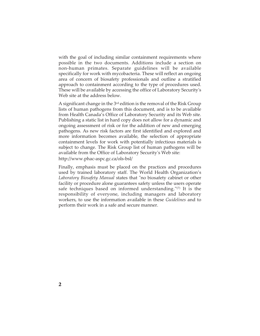with the goal of including similar containment requirements where possible in the two documents. Additions include a section on non-human primates. Separate guidelines will be available specifically for work with mycobacteria. These will reflect an ongoing area of concern of biosafety professionals and outline a stratified approach to containment according to the type of procedures used. These will be available by accessing the office of Laboratory Security's Web site at the address below.

A significant change in the  $3<sup>rd</sup>$  edition is the removal of the Risk Group lists of human pathogens from this document, and is to be available from Health Canada's Office of Laboratory Security and its Web site. Publishing a static list in hard copy does not allow for a dynamic and ongoing assessment of risk or for the addition of new and emerging pathogens. As new risk factors are first identified and explored and more information becomes available, the selection of appropriate containment levels for work with potentially infectious materials is subject to change. The Risk Group list of human pathogens will be available from the Office of Laboratory Security's Web site: http://www.phac-aspc.gc.ca/ols-bsl/

Finally, emphasis must be placed on the practices and procedures used by trained laboratory staff. The World Health Organization's *Laboratory Biosafety Manual* states that "no biosafety cabinet or other facility or procedure alone guarantees safety unless the users operate safe techniques based on informed understanding."(7) It is the responsibility of everyone, including managers and laboratory workers, to use the information available in these *Guidelines* and to perform their work in a safe and secure manner.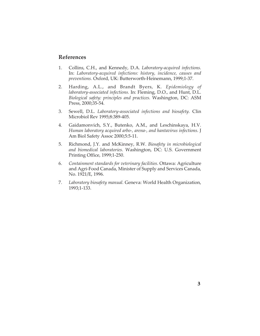### **References**

- 1. Collins, C.H., and Kennedy, D.A. *Laboratory-acquired infections.* In: *Laboratory-acquired infections: history, incidence, causes and preventions.* Oxford, UK: Butterworth-Heinemann, 1999;1-37.
- 2. Harding, A.L., and Brandt Byers, K. *Epidemiology of laboratory-associated infections.* In: Fleming, D.O., and Hunt, D.L. *Biological safety: principles and practices.* Washington, DC: ASM Press, 2000;35-54.
- 3. Sewell, D.L. *Laboratory-associated infections and biosafety.* Clin Microbiol Rev 1995;8:389-405.
- 4. Gaidamonvich, S.Y., Butenko, A.M., and Leschinskaya, H.V. *Human laboratory acquired arbo-, arena-, and hantavirus infections.* J Am Biol Safety Assoc 2000;5:5-11.
- 5. Richmond, J.Y. and McKinney, R.W. *Biosafety in microbiological and biomedical laboratories.* Washington, DC: U.S. Government Printing Office, 1999;1-250.
- 6. *Containment standards for veterinary facilities*. Ottawa: Agriculture and Agri-Food Canada, Minister of Supply and Services Canada, No. 1921/E, 1996.
- 7. *Laboratory biosafety manual.* Geneva: World Health Organization, 1993;1-133.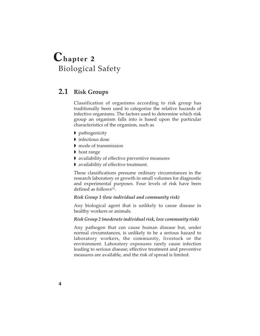# **Chapter 2** Biological Safety

# **2.1 Risk Groups**

Classification of organisms according to risk group has traditionally been used to categorize the relative hazards of infective organisms. The factors used to determine which risk group an organism falls into is based upon the particular characteristics of the organism, such as

- **pathogenicity**
- **I** infectious dose
- mode of transmission
- ▶ host range
- availability of effective preventive measures
- availability of effective treatment.

These classifications presume ordinary circumstances in the research laboratory or growth in small volumes for diagnostic and experimental purposes. Four levels of risk have been defined as follows $(1)$ .

### *Risk Group 1 (low individual and community risk)*

Any biological agent that is unlikely to cause disease in healthy workers or animals.

### *Risk Group 2 (moderate individual risk, low community risk)*

Any pathogen that can cause human disease but, under normal circumstances, is unlikely to be a serious hazard to laboratory workers, the community, livestock or the environment. Laboratory exposures rarely cause infection leading to serious disease; effective treatment and preventive measures are available, and the risk of spread is limited.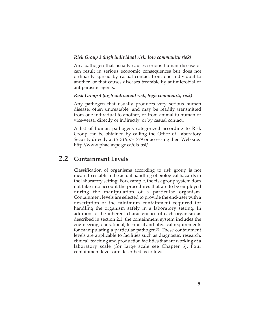### *Risk Group 3 (high individual risk, low community risk)*

Any pathogen that usually causes serious human disease or can result in serious economic consequences but does not ordinarily spread by casual contact from one individual to another, or that causes diseases treatable by antimicrobial or antiparasitic agents.

### *Risk Group 4 (high individual risk, high community risk)*

Any pathogen that usually produces very serious human disease, often untreatable, and may be readily transmitted from one individual to another, or from animal to human or vice-versa, directly or indirectly, or by casual contact.

A list of human pathogens categorized according to Risk Group can be obtained by calling the Office of Laboratory Security directly at (613) 957-1779 or accessing their Web site: http://www.phac-aspc.gc.ca/ols-bsl/

### **2.2 Containment Levels**

Classification of organisms according to risk group is not meant to establish the actual handling of biological hazards in the laboratory setting. For example, the risk group system does not take into account the procedures that are to be employed during the manipulation of a particular organism. Containment levels are selected to provide the end-user with a description of the minimum containment required for handling the organism safely in a laboratory setting. In addition to the inherent characteristics of each organism as described in section 2.1, the containment system includes the engineering, operational, technical and physical requirements for manipulating a particular pathogen $(2)$ . These containment levels are applicable to facilities such as diagnostic, research, clinical, teaching and production facilities that are working at a laboratory scale (for large scale see Chapter 6). Four containment levels are described as follows: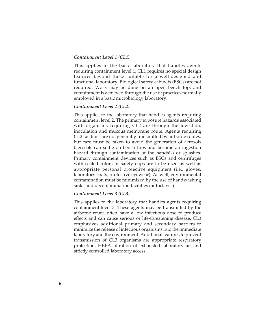### *Containment Level 1 (CL1)*

This applies to the basic laboratory that handles agents requiring containment level 1. CL1 requires no special design features beyond those suitable for a well-designed and functional laboratory. Biological safety cabinets (BSCs) are not required. Work may be done on an open bench top, and containment is achieved through the use of practices normally employed in a basic microbiology laboratory.

### *Containment Level 2 (CL2)*

This applies to the laboratory that handles agents requiring containment level 2. The primary exposure hazards associated with organisms requiring CL2 are through the ingestion, inoculation and mucous membrane route. Agents requiring CL2 facilities are not generally transmitted by airborne routes, but care must be taken to avoid the generation of aerosols (aerosols can settle on bench tops and become an ingestion hazard through contamination of the hands<sup>(3)</sup>) or splashes. Primary containment devices such as BSCs and centrifuges with sealed rotors or safety cups are to be used as well as appropriate personal protective equipment (i.e., gloves, laboratory coats, protective eyewear). As well, environmental contamination must be minimized by the use of handwashing sinks and decontamination facilities (autoclaves).

### *Containment Level 3 (CL3)*

This applies to the laboratory that handles agents requiring containment level 3. These agents may be transmitted by the airborne route, often have a low infectious dose to produce effects and can cause serious or life-threatening disease. CL3 emphasizes additional primary and secondary barriers to minimize the release of infectious organisms into the immediate laboratory and the environment. Additional features to prevent transmission of CL3 organisms are appropriate respiratory protection, HEPA filtration of exhausted laboratory air and strictly controlled laboratory access.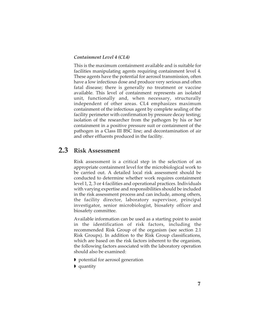### *Containment Level 4 (CL4)*

This is the maximum containment available and is suitable for facilities manipulating agents requiring containment level 4. These agents have the potential for aerosol transmission, often have a low infectious dose and produce very serious and often fatal disease; there is generally no treatment or vaccine available. This level of containment represents an isolated unit, functionally and, when necessary, structurally independent of other areas. CL4 emphasizes maximum containment of the infectious agent by complete sealing of the facility perimeter with confirmation by pressure decay testing; isolation of the researcher from the pathogen by his or her containment in a positive pressure suit or containment of the pathogen in a Class III BSC line; and decontamination of air and other effluents produced in the facility.

### **2.3 Risk Assessment**

Risk assessment is a critical step in the selection of an appropriate containment level for the microbiological work to be carried out. A detailed local risk assessment should be conducted to determine whether work requires containment level 1, 2, 3 or 4 facilities and operational practices. Individuals with varying expertise and responsibilities should be included in the risk assessment process and can include, among others, the facility director, laboratory supervisor, principal investigator, senior microbiologist, biosafety officer and biosafety committee.

Available information can be used as a starting point to assist in the identification of risk factors, including the recommended Risk Group of the organism (see section 2.1 Risk Groups). In addition to the Risk Group classifications, which are based on the risk factors inherent to the organism, the following factors associated with the laboratory operation should also be examined:

- **P** potential for aerosol generation
- quantity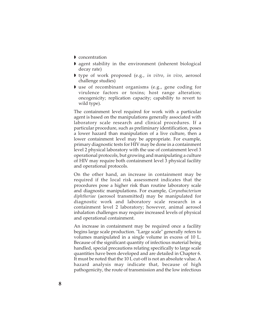- **Concentration**
- agent stability in the environment (inherent biological decay rate)
- type of work proposed (e.g., *in vitro*, *in vivo*, aerosol challenge studies)
- use of recombinant organisms (e.g., gene coding for virulence factors or toxins; host range alteration; oncogenicity; replication capacity; capability to revert to wild type).

The containment level required for work with a particular agent is based on the manipulations generally associated with laboratory scale research and clinical procedures. If a particular procedure, such as preliminary identification, poses a lower hazard than manipulation of a live culture, then a lower containment level may be appropriate. For example, primary diagnostic tests for HIV may be done in a containment level 2 physical laboratory with the use of containment level 3 operational protocols, but growing and manipulating a culture of HIV may require both containment level 3 physical facility and operational protocols.

On the other hand, an increase in containment may be required if the local risk assessment indicates that the procedures pose a higher risk than routine laboratory scale and diagnostic manipulations. For example, *Corynebacterium diphtheriae* (aerosol transmitted) may be manipulated for diagnostic work and laboratory scale research in a containment level 2 laboratory; however, animal aerosol inhalation challenges may require increased levels of physical and operational containment.

An increase in containment may be required once a facility begins large scale production. "Large scale" generally refers to volumes manipulated in a single volume in excess of 10 L. Because of the significant quantity of infectious material being handled, special precautions relating specifically to large scale quantities have been developed and are detailed in Chapter 6. It must be noted that the 10 L cut-off is not an absolute value. A hazard analysis may indicate that, because of high pathogenicity, the route of transmission and the low infectious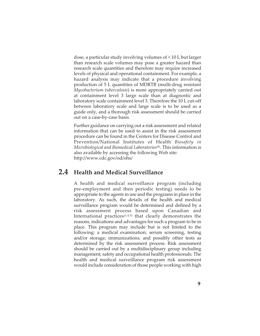dose, a particular study involving volumes of < 10 L but larger than research scale volumes may pose a greater hazard than research scale quantities and therefore may require increased levels of physical and operational containment. For example, a hazard analysis may indicate that a procedure involving production of 5 L quantities of MDRTB (multi-drug resistant *Mycobacterium tuberculosis*) is more appropriately carried out at containment level 3 large scale than at diagnostic and laboratory scale containment level 3. Therefore the 10 L cut-off between laboratory scale and large scale is to be used as a guide only, and a thorough risk assessment should be carried out on a case-by-case basis.

Further guidance on carrying out a risk assessment and related information that can be used to assist in the risk assessment procedure can be found in the Centers for Disease Control and Prevention/National Institutes of Health *Biosafety in Microbiological and Biomedical Laboratories*(4). This information is also available by accessing the following Web site: http://www.cdc.gov/od/ohs/

### **2.4 Health and Medical Surveillance**

A health and medical surveillance program (including pre-employment and then periodic testing) needs to be appropriate to the agents in use and the programs in place in the laboratory. As such, the details of the health and medical surveillance program would be determined and defined by a risk assessment process based upon Canadian and International practices $(1,4,5)$  that clearly demonstrates the reasons, indications and advantages for such a program to be in place. This program may include but is not limited to the following: a medical examination; serum screening, testing and/or storage; immunizations; and possibly other tests as determined by the risk assessment process. Risk assessment should be carried out by a multidisciplinary group including management, safety and occupational health professionals. The health and medical surveillance program risk assessment would include consideration of those people working with high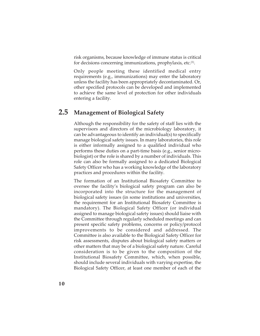risk organisms, because knowledge of immune status is critical for decisions concerning immunizations, prophylaxis, etc.<sup>(1)</sup>.

Only people meeting these identified medical entry requirements (e.g., immunizations) may enter the laboratory unless the facility has been appropriately decontaminated. Or, other specified protocols can be developed and implemented to achieve the same level of protection for other individuals entering a facility.

### **2.5 Management of Biological Safety**

Although the responsibility for the safety of staff lies with the supervisors and directors of the microbiology laboratory, it can be advantageous to identify an individual(s) to specifically manage biological safety issues. In many laboratories, this role is either informally assigned to a qualified individual who performs these duties on a part-time basis (e.g., senior microbiologist) or the role is shared by a number of individuals. This role can also be formally assigned to a dedicated Biological Safety Officer who has a working knowledge of the laboratory practices and procedures within the facility.

The formation of an Institutional Biosafety Committee to oversee the facility's biological safety program can also be incorporated into the structure for the management of biological safety issues (in some institutions and universities, the requirement for an Institutional Biosafety Committee is mandatory). The Biological Safety Officer (or individual assigned to manage biological safety issues) should liaise with the Committee through regularly scheduled meetings and can present specific safety problems, concerns or policy/protocol improvements to be considered and addressed. The Committee is also available to the Biological Safety Officer for risk assessments, disputes about biological safety matters or other matters that may be of a biological safety nature. Careful consideration is to be given to the composition of the Institutional Biosafety Committee, which, when possible, should include several individuals with varying expertise, the Biological Safety Officer, at least one member of each of the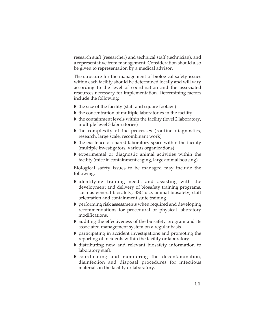research staff (researcher) and technical staff (technician), and a representative from management. Consideration should also be given to representation by a medical advisor.

The structure for the management of biological safety issues within each facility should be determined locally and will vary according to the level of coordination and the associated resources necessary for implementation. Determining factors include the following:

- If the size of the facility (staff and square footage)
- $\blacktriangleright$  the concentration of multiple laboratories in the facility
- $\blacktriangleright$  the containment levels within the facility (level 2 laboratory, multiple level 3 laboratories)
- If the complexity of the processes (routine diagnostics, research, large scale, recombinant work)
- $\blacktriangleright$  the existence of shared laboratory space within the facility (multiple investigators, various organizations)
- experimental or diagnostic animal activities within the facility (mice in containment caging, large animal housing).

Biological safety issues to be managed may include the following:

- I identifying training needs and assisting with the development and delivery of biosafety training programs, such as general biosafety, BSC use, animal biosafety, staff orientation and containment suite training.
- **P** performing risk assessments when required and developing recommendations for procedural or physical laboratory modifications.
- auditing the effectiveness of the biosafety program and its associated management system on a regular basis.
- participating in accident investigations and promoting the reporting of incidents within the facility or laboratory.
- distributing new and relevant biosafety information to laboratory staff.
- coordinating and monitoring the decontamination, disinfection and disposal procedures for infectious materials in the facility or laboratory.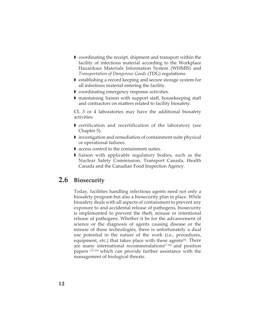- coordinating the receipt, shipment and transport within the facility of infectious material according to the Workplace Hazardous Materials Information System (WHMIS) and *Transportation of Dangerous Goods* (TDG) regulations.
- establishing a record keeping and secure storage system for all infectious material entering the facility.
- **D** coordinating emergency response activities.
- maintaining liaison with support staff, housekeeping staff and contractors on matters related to facility biosafety.

CL 3 or 4 laboratories may have the additional biosafety activities:

- certification and recertification of the laboratory (see Chapter 5).
- investigation and remediation of containment suite physical or operational failures.
- access control to the containment suites.
- I liaison with applicable regulatory bodies, such as the Nuclear Safety Commission, Transport Canada, Health Canada and the Canadian Food Inspection Agency.

# **2.6 Biosecurity**

Today, facilities handling infectious agents need not only a biosafety program but also a biosecurity plan in place. While biosafety deals with all aspects of containment to prevent any exposure to and accidental release of pathogens, biosecurity is implemented to prevent the theft, misuse or intentional release of pathogens. Whether it be for the advancement of science or the diagnosis of agents causing disease or the misuse of these technologies, there is unfortunately a dual use potential in the nature of the work (i.e., procedures, equipment, etc.) that takes place with these agents $(6)$ . There are many international recommendations $(7-10)$  and position papers (11-16) which can provide further assistance with the management of biological threats.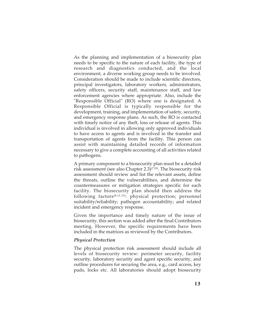As the planning and implementation of a biosecurity plan needs to be specific to the nature of each facility, the type of research and diagnostics conducted, and the local environment, a diverse working group needs to be involved. Consideration should be made to include scientific directors, principal investigators, laboratory workers, administrators, safety officers, security staff, maintenance staff, and law enforcement agencies where appropriate. Also, include the "Responsible Official" (RO) where one is designated. A Responsible Official is typically responsible for the development, training, and implementation of safety, security, and emergency response plans. As such, the RO is contacted with timely notice of any theft, loss or release of agents. This individual is involved in allowing only approved individuals to have access to agents and is involved in the transfer and transportation of agents from the facility. This person can assist with maintaining detailed records of information necessary to give a complete accounting of all activities related to pathogens.

A primary component to a biosecurity plan must be a detailed risk assessment (see also Chapter 2.3) $(7,10)$ . The biosecurity risk assessment should review and list the relevant assets, define the threats, outline the vulnerabilities, and determine the countermeasures or mitigation strategies specific for each facility. The biosecurity plan should then address the following factors(8,11,15): physical protection; personnel suitability/reliability; pathogen accountability; and related incident and emergency response.

Given the importance and timely nature of the issue of biosecurity, this section was added after the final Contributors meeting. However, the specific requirements have been included in the matrices as reviewed by the Contributors.

### *Physical Protection*

The physical protection risk assessment should include all levels of biosecurity review: perimeter security, facility security, laboratory security and agent specific security, and outline procedures for securing the area, e.g., card access, key pads, locks etc. All laboratories should adopt biosecurity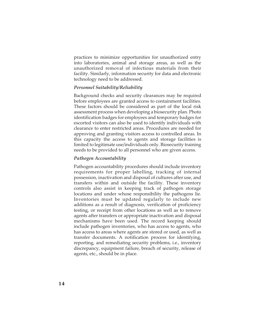practices to minimize opportunities for unauthorized entry into laboratories, animal and storage areas, as well as the unauthorized removal of infectious materials from their facility. Similarly, information security for data and electronic technology need to be addressed.

### *Personnel Suitability/Reliability*

Background checks and security clearances may be required before employees are granted access to containment facilities. These factors should be considered as part of the local risk assessment process when developing a biosecurity plan. Photo identification badges for employees and temporary badges for escorted visitors can also be used to identify individuals with clearance to enter restricted areas. Procedures are needed for approving and granting visitors access to controlled areas. In this capacity the access to agents and storage facilities is limited to legitimate use/individuals only. Biosecurity training needs to be provided to all personnel who are given access.

### *Pathogen Accountability*

Pathogen accountability procedures should include inventory requirements for proper labelling, tracking of internal possession, inactivation and disposal of cultures after use, and transfers within and outside the facility. These inventory controls also assist in keeping track of pathogen storage locations and under whose responsibility the pathogens lie. Inventories must be updated regularly to include new additions as a result of diagnosis, verification of proficiency testing, or receipt from other locations as well as to remove agents after transfers or appropriate inactivation and disposal mechanisms have been used. The record keeping should include pathogen inventories, who has access to agents, who has access to areas where agents are stored or used, as well as transfer documents. A notification process for identifying, reporting, and remediating security problems, i.e., inventory discrepancy, equipment failure, breach of security, release of agents, etc., should be in place.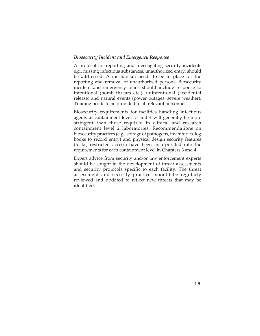### *Biosecurity Incident and Emergency Response*

A protocol for reporting and investigating security incidents e.g., missing infectious substances, unauthorized entry, should be addressed. A mechanism needs to be in place for the reporting and removal of unauthorized persons. Biosecurity incident and emergency plans should include response to intentional (bomb threats etc.), unintentional (accidental release) and natural events (power outages, severe weather). Training needs to be provided to all relevant personnel.

Biosecurity requirements for facilities handling infectious agents at containment levels 3 and 4 will generally be more stringent than those required in clinical and research containment level 2 laboratories. Recommendations on biosecurity practices (e.g., storage of pathogens, inventories, log books to record entry) and physical design security features (locks, restricted access) have been incorporated into the requirements for each containment level in Chapters 3 and 4.

Expert advice from security and/or law enforcement experts should be sought in the development of threat assessments and security protocols specific to each facility. The threat assessment and security practices should be regularly reviewed and updated to reflect new threats that may be identified.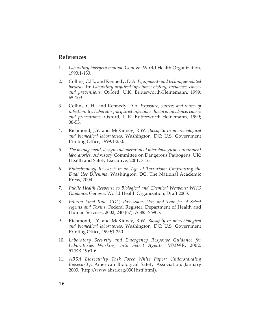### **References**

- 1. *Laboratory biosafety manual.* Geneva: World Health Organization, 1993;1-133.
- 2. Collins, C.H., and Kennedy, D.A. *Equipment- and technique-related hazards.* In: *Laboratory-acquired infections: history, incidence, causes and preventions.* Oxford, U.K: Butterworth-Heinemann, 1999; 65-109.
- 3. Collins, C.H., and Kennedy, D.A. *Exposure, sources and routes of infection.* In: *Laboratory-acquired infections: history, incidence, causes and preventions.* Oxford, U.K: Butterworth-Heinemann, 1999; 38-53.
- 4. Richmond, J.Y. and McKinney, R.W. *Biosafety in microbiological and biomedical laboratories*. Washington, DC: U.S. Government Printing Office, 1999;1-250.
- 5. *The management, design and operation of microbiological containment laboratories*. Advisory Committee on Dangerous Pathogens, UK: Health and Safety Executive, 2001; 7-16.
- 6. *Biotechnology Research in an Age of Terrorism*: *Confronting the Dual Use Dilemma*. Washington, DC: The National Academic Press, 2004.
- 7. *Public Health Response to Biological and Chemical Weapons: WHO Guidance*. Geneva: World Health Organization, Draft 2003.
- 8. *Interim Final Rule: CDC; Possession, Use, and Transfer of Select Agents and Toxins*. Federal Register, Department of Health and Human Services, 2002; 240 (67): 76885-76905.
- 9. Richmond, J.Y. and McKinney, R.W. *Biosafety in microbiological and biomedical laboratories.* Washington, DC: U.S. Government Printing Office, 1999;1-250.
- 10. *Laboratory Security and Emergency Response Guidance for Laboratories Working with Select Agents*. MMWR, 2002; 51(RR-19):1-6.
- 11. *ABSA Biosecurity Task Force White Paper: Understanding Biosecurity*. American Biological Safety Association, January 2003. (http://www.absa.org/0301bstf.html).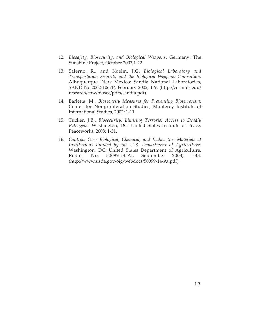- 12. *Biosafety, Biosecurity, and Biological Weapons*. Germany: The Sunshine Project, October 2003;1-22.
- 13. Salerno, R., and Koelm, J.G. *Biological Laboratory and Transportation Security and the Biological Weapons Convention*. Albuquerque, New Mexico: Sandia National Laboratories, SAND No.2002-1067P, February 2002; 1-9. (http://cns.miis.edu/ research/cbw/biosec/pdfs/sandia.pdf).
- 14. Barletta, M., *Biosecurity Measures for Preventing Bioterrorism*. Center for Nonproliferation Studies, Monterey Institute of International Studies, 2002; 1-11.
- 15. Tucker, J.B., *Biosecurity: Limiting Terrorist Access to Deadly Pathogens*. Washington, DC: United States Institute of Peace, Peaceworks, 2003; 1-51.
- 16. *Controls Over Biological, Chemical, and Radioactive Materials at Institutions Funded by the U.S. Department of Agriculture*. Washington, DC: United States Department of Agriculture, Report No. 50099-14-At, September 2003; 1-43. (http://www.usda.gov/oig/webdocs/50099-14-At.pdf).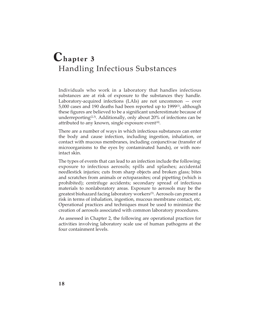# **Chapter 3** Handling Infectious Substances

Individuals who work in a laboratory that handles infectious substances are at risk of exposure to the substances they handle. Laboratory-acquired infections (LAIs) are not uncommon — over 5,000 cases and 190 deaths had been reported up to 1999(1), although these figures are believed to be a significant underestimate because of underreporting<sup>(2,3)</sup>. Additionally, only about 20% of infections can be attributed to any known, single exposure event $(4)$ .

There are a number of ways in which infectious substances can enter the body and cause infection, including ingestion, inhalation, or contact with mucous membranes, including conjunctivae (transfer of microorganisms to the eyes by contaminated hands), or with nonintact skin.

The types of events that can lead to an infection include the following: exposure to infectious aerosols; spills and splashes; accidental needlestick injuries; cuts from sharp objects and broken glass; bites and scratches from animals or ectoparasites; oral pipetting (which is prohibited); centrifuge accidents; secondary spread of infectious materials to nonlaboratory areas. Exposure to aerosols may be the greatest biohazard facing laboratory workers<sup>(5)</sup>. Aerosols can present a risk in terms of inhalation, ingestion, mucous membrane contact, etc. Operational practices and techniques must be used to minimize the creation of aerosols associated with common laboratory procedures.

As assessed in Chapter 2, the following are operational practices for activities involving laboratory scale use of human pathogens at the four containment levels.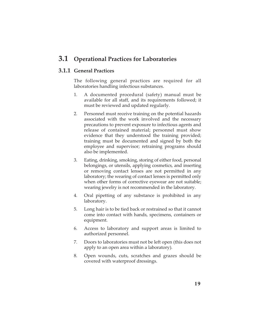### **3.1 Operational Practices for Laboratories**

### **3.1.1 General Practices**

The following general practices are required for all laboratories handling infectious substances.

- 1. A documented procedural (safety) manual must be available for all staff, and its requirements followed; it must be reviewed and updated regularly.
- 2. Personnel must receive training on the potential hazards associated with the work involved and the necessary precautions to prevent exposure to infectious agents and release of contained material; personnel must show evidence that they understood the training provided; training must be documented and signed by both the employee and supervisor; retraining programs should also be implemented.
- 3. Eating, drinking, smoking, storing of either food, personal belongings, or utensils, applying cosmetics, and inserting or removing contact lenses are not permitted in any laboratory; the wearing of contact lenses is permitted only when other forms of corrective eyewear are not suitable; wearing jewelry is not recommended in the laboratory.
- 4. Oral pipetting of any substance is prohibited in any laboratory.
- 5. Long hair is to be tied back or restrained so that it cannot come into contact with hands, specimens, containers or equipment.
- 6. Access to laboratory and support areas is limited to authorized personnel.
- 7. Doors to laboratories must not be left open (this does not apply to an open area within a laboratory).
- 8. Open wounds, cuts, scratches and grazes should be covered with waterproof dressings.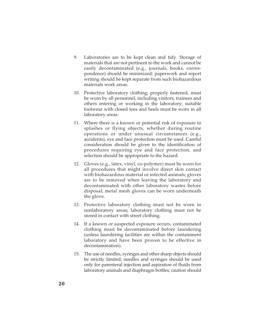- 9. Laboratories are to be kept clean and tidy. Storage of materials that are not pertinent to the work and cannot be easily decontaminated (e.g., journals, books, correspondence) should be minimized; paperwork and report writing should be kept separate from such biohazardous materials work areas.
- 10. Protective laboratory clothing, properly fastened, must be worn by all personnel, including visitors, trainees and others entering or working in the laboratory; suitable footwear with closed toes and heels must be worn in all laboratory areas.
- 11. Where there is a known or potential risk of exposure to splashes or flying objects, whether during routine operations or under unusual circumstances (e.g., accidents), eye and face protection must be used. Careful consideration should be given to the identification of procedures requiring eye and face protection, and selection should be appropriate to the hazard.
- 12. Gloves (e.g., latex, vinyl, co-polymer) must be worn for all procedures that might involve direct skin contact with biohazardous material or infected animals; gloves are to be removed when leaving the laboratory and decontaminated with other laboratory wastes before disposal; metal mesh gloves can be worn underneath the glove.
- 13. Protective laboratory clothing must not be worn in nonlaboratory areas; laboratory clothing must not be stored in contact with street clothing.
- 14. If a known or suspected exposure occurs, contaminated clothing must be decontaminated before laundering (unless laundering facilities are within the containment laboratory and have been proven to be effective in decontamination).
- 15. The use of needles, syringes and other sharp objects should be strictly limited; needles and syringes should be used only for parenteral injection and aspiration of fluids from laboratory animals and diaphragm bottles; caution should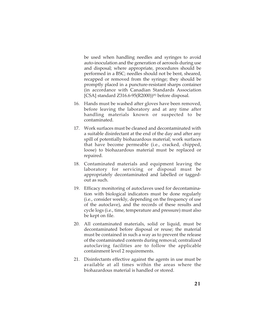be used when handling needles and syringes to avoid auto-inoculation and the generation of aerosols during use and disposal; where appropriate, procedures should be performed in a BSC; needles should not be bent, sheared, recapped or removed from the syringe; they should be promptly placed in a puncture-resistant sharps container (in accordance with Canadian Standards Association [CSA] standard Z316.6-95(R2000))<sup>(6)</sup> before disposal.

- 16. Hands must be washed after gloves have been removed, before leaving the laboratory and at any time after handling materials known or suspected to be contaminated.
- 17. Work surfaces must be cleaned and decontaminated with a suitable disinfectant at the end of the day and after any spill of potentially biohazardous material; work surfaces that have become permeable (i.e., cracked, chipped, loose) to biohazardous material must be replaced or repaired.
- 18. Contaminated materials and equipment leaving the laboratory for servicing or disposal must be appropriately decontaminated and labelled or taggedout as such.
- 19. Efficacy monitoring of autoclaves used for decontamination with biological indicators must be done regularly (i.e., consider weekly, depending on the frequency of use of the autoclave), and the records of these results and cycle logs (i.e., time, temperature and pressure) must also be kept on file.
- 20. All contaminated materials, solid or liquid, must be decontaminated before disposal or reuse; the material must be contained in such a way as to prevent the release of the contaminated contents during removal; centralized autoclaving facilities are to follow the applicable containment level 2 requirements.
- 21. Disinfectants effective against the agents in use must be available at all times within the areas where the biohazardous material is handled or stored.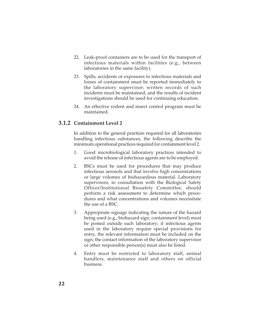- 22. Leak-proof containers are to be used for the transport of infectious materials within facilities (e.g., between laboratories in the same facility).
- 23. Spills, accidents or exposures to infectious materials and losses of containment must be reported immediately to the laboratory supervisor; written records of such incidents must be maintained, and the results of incident investigations should be used for continuing education.
- 24. An effective rodent and insect control program must be maintained.

### **3.1.2 Containment Level 2**

In addition to the general practices required for all laboratories handling infectious substances, the following describe the minimum operational practices required for containment level 2.

- 1. Good microbiological laboratory practices intended to avoid the release of infectious agents are to be employed.
- 2. BSCs must be used for procedures that may produce infectious aerosols and that involve high concentrations or large volumes of biohazardous material. Laboratory supervisors, in consultation with the Biological Safety Officer/Institutional Biosafety Committee, should perform a risk assessment to determine which procedures and what concentrations and volumes necessitate the use of a BSC.
- 3. Appropriate signage indicating the nature of the hazard being used (e.g., biohazard sign, containment level) must be posted outside each laboratory; if infectious agents used in the laboratory require special provisions for entry, the relevant information must be included on the sign; the contact information of the laboratory supervisor or other responsible person(s) must also be listed.
- 4. Entry must be restricted to laboratory staff, animal handlers, maintenance staff and others on official business.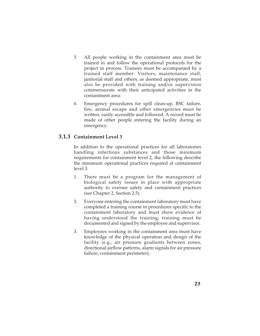- 5. All people working in the containment area must be trained in and follow the operational protocols for the project in process. Trainees must be accompanied by a trained staff member. Visitors, maintenance staff, janitorial staff and others, as deemed appropriate, must also be provided with training and/or supervision commensurate with their anticipated activities in the containment area.
- 6. Emergency procedures for spill clean-up, BSC failure, fire, animal escape and other emergencies must be written, easily accessible and followed. A record must be made of other people entering the facility during an emergency.

### **3.1.3 Containment Level 3**

In addition to the operational practices for all laboratories handling infectious substances and those minimum requirements for containment level 2, the following describe the minimum operational practices required at containment level 3.

- 1. There must be a program for the management of biological safety issues in place with appropriate authority to oversee safety and containment practices (see Chapter 2, Section 2.5).
- 2. Everyone entering the containment laboratory must have completed a training course in procedures specific to the containment laboratory and must show evidence of having understood the training; training must be documented and signed by the employee and supervisor.
- 3. Employees working in the containment area must have knowledge of the physical operation and design of the facility (e.g., air pressure gradients between zones, directional airflow patterns, alarm signals for air pressure failure, containment perimeter).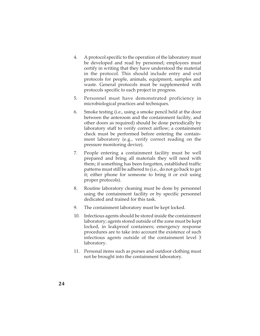- 4. A protocol specific to the operation of the laboratory must be developed and read by personnel; employees must certify in writing that they have understood the material in the protocol. This should include entry and exit protocols for people, animals, equipment, samples and waste. General protocols must be supplemented with protocols specific to each project in progress.
- 5. Personnel must have demonstrated proficiency in microbiological practices and techniques.
- 6. Smoke testing (i.e., using a smoke pencil held at the door between the anteroom and the containment facility, and other doors as required) should be done periodically by laboratory staff to verify correct airflow; a containment check must be performed before entering the containment laboratory (e.g., verify correct reading on the pressure monitoring device).
- 7. People entering a containment facility must be well prepared and bring all materials they will need with them; if something has been forgotten, established traffic patterns must still be adhered to (i.e., do not go back to get it; either phone for someone to bring it or exit using proper protocols).
- 8. Routine laboratory cleaning must be done by personnel using the containment facility or by specific personnel dedicated and trained for this task.
- 9. The containment laboratory must be kept locked.
- 10. Infectious agents should be stored inside the containment laboratory; agents stored outside of the zone must be kept locked, in leakproof containers; emergency response procedures are to take into account the existence of such infectious agents outside of the containment level 3 laboratory.
- 11. Personal items such as purses and outdoor clothing must not be brought into the containment laboratory.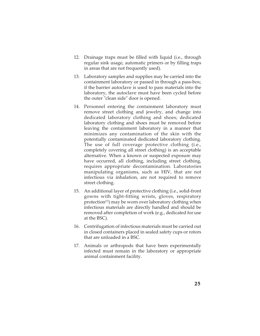- 12. Drainage traps must be filled with liquid (i.e., through regular sink usage, automatic primers or by filling traps in areas that are not frequently used).
- 13. Laboratory samples and supplies may be carried into the containment laboratory or passed in through a pass-box; if the barrier autoclave is used to pass materials into the laboratory, the autoclave must have been cycled before the outer "clean side" door is opened.
- 14. Personnel entering the containment laboratory must remove street clothing and jewelry, and change into dedicated laboratory clothing and shoes; dedicated laboratory clothing and shoes must be removed before leaving the containment laboratory in a manner that minimizes any contamination of the skin with the potentially contaminated dedicated laboratory clothing. The use of full coverage protective clothing (i.e., completely covering all street clothing) is an acceptable alternative. When a known or suspected exposure may have occurred, all clothing, including street clothing, requires appropriate decontamination. Laboratories manipulating organisms, such as HIV, that are not infectious via inhalation, are not required to remove street clothing.
- 15. An additional layer of protective clothing (i.e., solid-front gowns with tight-fitting wrists, gloves, respiratory protection<sup>(7)</sup>) may be worn over laboratory clothing when infectious materials are directly handled and should be removed after completion of work (e.g., dedicated for use at the BSC).
- 16. Centrifugation of infectious materials must be carried out in closed containers placed in sealed safety cups or rotors that are unloaded in a BSC.
- 17. Animals or arthropods that have been experimentally infected must remain in the laboratory or appropriate animal containment facility.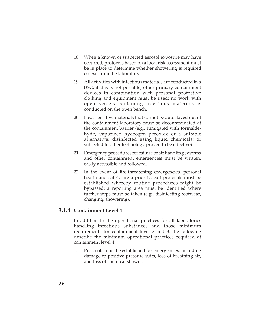- 18. When a known or suspected aerosol exposure may have occurred, protocols based on a local risk assessment must be in place to determine whether showering is required on exit from the laboratory.
- 19. All activities with infectious materials are conducted in a BSC; if this is not possible, other primary containment devices in combination with personal protective clothing and equipment must be used; no work with open vessels containing infectious materials is conducted on the open bench.
- 20. Heat-sensitive materials that cannot be autoclaved out of the containment laboratory must be decontaminated at the containment barrier (e.g., fumigated with formaldehyde, vaporized hydrogen peroxide or a suitable alternative; disinfected using liquid chemicals; or subjected to other technology proven to be effective).
- 21. Emergency procedures for failure of air handling systems and other containment emergencies must be written, easily accessible and followed.
- 22. In the event of life-threatening emergencies, personal health and safety are a priority; exit protocols must be established whereby routine procedures might be bypassed; a reporting area must be identified where further steps must be taken (e.g., disinfecting footwear, changing, showering).

#### **3.1.4 Containment Level 4**

In addition to the operational practices for all laboratories handling infectious substances and those minimum requirements for containment level 2 and 3, the following describe the minimum operational practices required at containment level 4.

1. Protocols must be established for emergencies, including damage to positive pressure suits, loss of breathing air, and loss of chemical shower.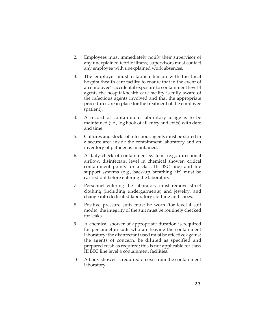- 2. Employees must immediately notify their supervisor of any unexplained febrile illness; supervisors must contact any employee with unexplained work absences.
- 3. The employer must establish liaison with the local hospital/health care facility to ensure that in the event of an employee's accidental exposure to containment level 4 agents the hospital/health care facility is fully aware of the infectious agents involved and that the appropriate procedures are in place for the treatment of the employee (patient).
- 4. A record of containment laboratory usage is to be maintained (i.e., log book of all entry and exits) with date and time.
- 5. Cultures and stocks of infectious agents must be stored in a secure area inside the containment laboratory and an inventory of pathogens maintained.
- 6. A daily check of containment systems (e.g., directional airflow, disinfectant level in chemical shower, critical containment points for a class III BSC line) and life support systems (e.g., back-up breathing air) must be carried out before entering the laboratory.
- 7. Personnel entering the laboratory must remove street clothing (including undergarments) and jewelry, and change into dedicated laboratory clothing and shoes.
- 8. Positive pressure suits must be worn (for level 4 suit mode); the integrity of the suit must be routinely checked for leaks.
- 9. A chemical shower of appropriate duration is required for personnel in suits who are leaving the containment laboratory; the disinfectant used must be effective against the agents of concern, be diluted as specified and prepared fresh as required; this is not applicable for class III BSC line level 4 containment facilities.
- 10. A body shower is required on exit from the containment laboratory.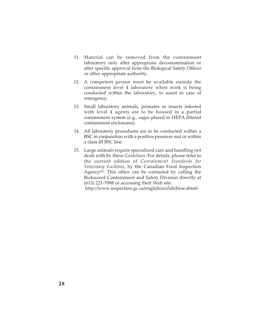- 11. Material can be removed from the containment laboratory only after appropriate decontamination or after specific approval from the Biological Safety Officer or other appropriate authority.
- 12. A competent person must be available outside the containment level 4 laboratory when work is being conducted within the laboratory, to assist in case of emergency.
- 13. Small laboratory animals, primates or insects infected with level 4 agents are to be housed in a partial containment system (e.g., cages placed in HEPA filtered containment enclosures).
- 14. All laboratory procedures are to be conducted within a BSC in conjunction with a positive pressure suit or within a class III BSC line.
- 15. Large animals require specialized care and handling not dealt with by these *Guidelines*. For details, please refer to the current edition of *Containment Standards for Veterinary Facilities*, by the Canadian Food Inspection Agency $(8)$ . This office can be contacted by calling the Biohazard Containment and Safety Division directly at (613) 221-7088 or accessing their Web site:

http://www.inspection.gc.ca/english/sci/lab/bioe.shtml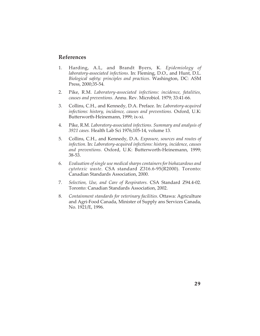#### **References**

- 1. Harding, A.L, and Brandt Byers, K. *Epidemiology of laboratory-associated infections*. In: Fleming, D.O., and Hunt, D.L. *Biological safety: principles and practices*. Washington, DC: ASM Press, 2000;35-54.
- 2. Pike, R.M. *Laboratory-associated infections: incidence, fatalities, causes and preventions*. Annu. Rev. Microbiol. 1979; 33:41-66.
- 3. Collins, C.H., and Kennedy, D.A. Preface. In: *Laboratory-acquired infections: history, incidence, causes and preventions.* Oxford, U.K: Butterworth-Heinemann, 1999; ix-xi.
- 4. Pike, R.M. *Laboratory-associated infections. Summary and analysis of 3921 cases.* Health Lab Sci 1976;105-14, volume 13.
- 5. Collins, C.H., and Kennedy, D.A. *Exposure, sources and routes of infection*. In: *Laboratory-acquired infections: history, incidence, causes and preventions.* Oxford, U.K: Butterworth-Heinemann, 1999; 38-53.
- 6. *Evaluation of single use medical sharps containers for biohazardous and cytotoxic waste*. CSA standard Z316.6-95(R2000). Toronto: Canadian Standards Association, 2000.
- 7. *Selection, Use, and Care of Respirators*. CSA Standard Z94.4-02. Toronto: Canadian Standards Association, 2002.
- 8. *Containment standards for veterinary facilities*. Ottawa: Agriculture and Agri-Food Canada, Minister of Supply ans Services Canada, No. 1921/E, 1996.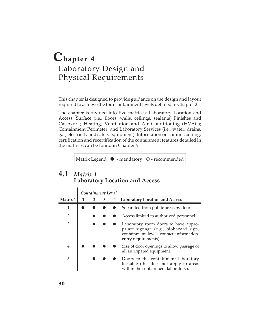# **Chapter 4** Laboratory Design and Physical Requirements

This chapter is designed to provide guidance on the design and layout required to achieve the four containment levels detailed in Chapter 2.

The chapter is divided into five matrices: Laboratory Location and Access; Surface (i.e., floors, walls, ceilings, sealants) Finishes and Casework; Heating, Ventilation and Air Conditioning (HVAC); Containment Perimeter; and Laboratory Services (i.e., water, drains, gas, electricity and safety equipment). Information on commissioning, certification and recertification of the containment features detailed in the matrices can be found in Chapter 5.

Matrix Legend:  $\bullet$  - mandatory  $\circ$  - recommended

## **4.1** *Matrix 1* **Laboratory Location and Access**

|                |                | Containment Level |   |                                                                                                                                                  |
|----------------|----------------|-------------------|---|--------------------------------------------------------------------------------------------------------------------------------------------------|
| Matrix 1       | $\overline{2}$ | 3                 | 4 | <b>Laboratory Location and Access</b>                                                                                                            |
| $\mathbf 1$    |                |                   |   | Separated from public areas by door.                                                                                                             |
| $\overline{2}$ |                |                   |   | Access limited to authorized personnel.                                                                                                          |
| 3              |                |                   |   | Laboratory room doors to have appro-<br>priate signage (e.g., biohazard sign,<br>containment level, contact information,<br>entry requirements). |
| 4              |                |                   |   | Size of door openings to allow passage of<br>all anticipated equipment.                                                                          |
| 5              |                |                   |   | Doors to the containment laboratory<br>lockable (this does not apply to areas<br>within the containment laboratory).                             |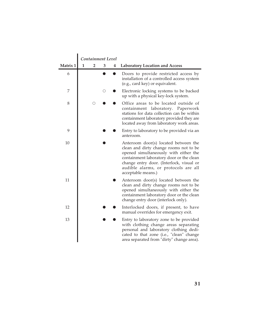|          |   |                                                             | Containment Level |   |                                                                                                                                                                                                                                                                               |
|----------|---|-------------------------------------------------------------|-------------------|---|-------------------------------------------------------------------------------------------------------------------------------------------------------------------------------------------------------------------------------------------------------------------------------|
| Matrix 1 | 1 | 2                                                           | 3                 | 4 | <b>Laboratory Location and Access</b>                                                                                                                                                                                                                                         |
| 6        |   |                                                             |                   |   | Doors to provide restricted access by<br>installation of a controlled access system<br>(e.g., card key) or equivalent.                                                                                                                                                        |
| 7        |   |                                                             | O                 |   | Electronic locking systems to be backed<br>up with a physical key-lock system.                                                                                                                                                                                                |
| 8        |   | $\left(\begin{smallmatrix} 1 \\ 1 \end{smallmatrix}\right)$ |                   |   | Office areas to be located outside of<br>laboratory. Paperwork<br>containment<br>stations for data collection can be within<br>containment laboratory provided they are<br>located away from laboratory work areas.                                                           |
| 9        |   |                                                             |                   |   | Entry to laboratory to be provided via an<br>anteroom.                                                                                                                                                                                                                        |
| 10       |   |                                                             |                   |   | Anteroom door(s) located between the<br>clean and dirty change rooms not to be<br>opened simultaneously with either the<br>containment laboratory door or the clean<br>change entry door. (Interlock, visual or<br>audible alarms, or protocols are all<br>acceptable means.) |
| 11       |   |                                                             |                   |   | Anteroom door(s) located between the<br>clean and dirty change rooms not to be<br>opened simultaneously with either the<br>containment laboratory door or the clean<br>change entry door (interlock only).                                                                    |
| 12       |   |                                                             |                   |   | Interlocked doors, if present, to have<br>manual overrides for emergency exit.                                                                                                                                                                                                |
| 13       |   |                                                             |                   |   | Entry to laboratory zone to be provided<br>with clothing change areas separating<br>personal and laboratory clothing dedi-<br>cated to that zone (i.e., "clean" change<br>area separated from "dirty" change area).                                                           |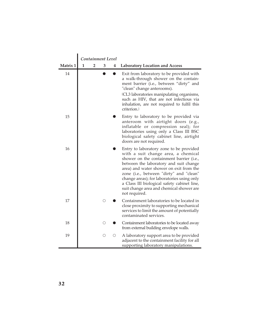|          |   | Containment Level |   |   |                                                                                                                                                                                                                                                                                                                                                                                                                      |
|----------|---|-------------------|---|---|----------------------------------------------------------------------------------------------------------------------------------------------------------------------------------------------------------------------------------------------------------------------------------------------------------------------------------------------------------------------------------------------------------------------|
| Matrix 1 | 1 | 2                 | 3 | 4 | <b>Laboratory Location and Access</b>                                                                                                                                                                                                                                                                                                                                                                                |
| 14       |   |                   |   |   | Exit from laboratory to be provided with<br>a walk-through shower on the contain-<br>ment barrier (i.e., between "dirty" and<br>"clean" change anterooms).<br>(CL3 laboratories manipulating organisms,<br>such as HIV, that are not infectious via<br>inhalation, are not required to fulfil this<br>criterion.                                                                                                     |
| 15       |   |                   |   |   | Entry to laboratory to be provided via<br>anteroom with airtight doors (e.g.,<br>inflatable or compression seal); for<br>laboratories using only a Class III BSC<br>biological safety cabinet line, airtight<br>doors are not required.                                                                                                                                                                              |
| 16       |   |                   |   |   | Entry to laboratory zone to be provided<br>with a suit change area, a chemical<br>shower on the containment barrier (i.e.,<br>between the laboratory and suit change<br>area) and water shower on exit from the<br>zone (i.e., between "dirty" and "clean"<br>change areas); for laboratories using only<br>a Class III biological safety cabinet line,<br>suit change area and chemical shower are<br>not required. |
| 17       |   |                   | О |   | Containment laboratories to be located in<br>close proximity to supporting mechanical<br>services to limit the amount of potentially<br>contaminated services.                                                                                                                                                                                                                                                       |
| 18       |   |                   | ◯ |   | Containment laboratories to be located away<br>from external building envelope walls.                                                                                                                                                                                                                                                                                                                                |
| 19       |   |                   | О | О | A laboratory support area to be provided<br>adjacent to the containment facility for all<br>supporting laboratory manipulations.                                                                                                                                                                                                                                                                                     |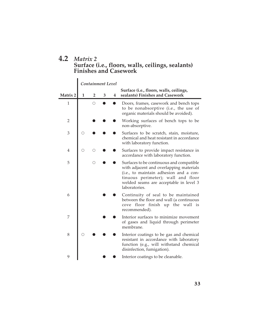## **4.2** *Matrix 2* **Surface (i.e., floors, walls, ceilings, sealants) Finishes and Casework**

|                |   |                | Containment Level |   |                                                                                                                                                                                                                                |
|----------------|---|----------------|-------------------|---|--------------------------------------------------------------------------------------------------------------------------------------------------------------------------------------------------------------------------------|
|                |   |                |                   |   | Surface (i.e., floors, walls, ceilings,                                                                                                                                                                                        |
| Matrix 2       | 1 | $\overline{2}$ | 3                 | 4 | sealants) Finishes and Casework                                                                                                                                                                                                |
| $\mathbf{1}$   |   | Ω              |                   |   | Doors, frames, casework and bench tops<br>to be nonabsorptive (i.e., the use of<br>organic materials should be avoided).                                                                                                       |
| $\overline{2}$ |   |                |                   |   | Working surfaces of bench tops to be<br>non-absorptive.                                                                                                                                                                        |
| 3              | Ω |                |                   |   | Surfaces to be scratch, stain, moisture,<br>chemical and heat resistant in accordance<br>with laboratory function.                                                                                                             |
| 4              | Ω |                |                   |   | Surfaces to provide impact resistance in<br>accordance with laboratory function.                                                                                                                                               |
| 5              |   |                |                   |   | Surfaces to be continuous and compatible<br>with adjacent and overlapping materials<br>(i.e., to maintain adhesion and a con-<br>tinuous perimeter); wall and floor<br>welded seams are acceptable in level 3<br>laboratories. |
| 6              |   |                |                   |   | Continuity of seal to be maintained<br>between the floor and wall (a continuous<br>cove floor finish up the wall is<br>recommended).                                                                                           |
| 7              |   |                |                   |   | Interior surfaces to minimize movement<br>of gases and liquid through perimeter<br>membrane.                                                                                                                                   |
| 8              |   |                |                   |   | Interior coatings to be gas and chemical<br>resistant in accordance with laboratory<br>function (e.g., will withstand chemical<br>disinfection, fumigation).                                                                   |
| 9              |   |                |                   |   | Interior coatings to be cleanable.                                                                                                                                                                                             |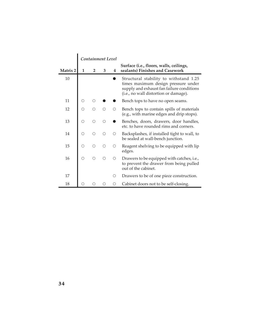|          |            | Containment Level |   |                                               |                                                                                                                                                                     |
|----------|------------|-------------------|---|-----------------------------------------------|---------------------------------------------------------------------------------------------------------------------------------------------------------------------|
| Matrix 2 | 1          | 2                 | 3 | 4                                             | Surface (i.e., floors, walls, ceilings,<br>sealants) Finishes and Casework                                                                                          |
| 10       |            |                   |   |                                               | Structural stability to withstand 1.25<br>times maximum design pressure under<br>supply and exhaust fan failure conditions<br>(i.e., no wall distortion or damage). |
| 11       |            |                   |   |                                               | Bench tops to have no open seams.                                                                                                                                   |
| 12       |            |                   |   | ∩                                             | Bench tops to contain spills of materials<br>(e.g., with marine edges and drip stops).                                                                              |
| 13       | О          | ∩                 | ∩ |                                               | Benches, doors, drawers, door handles,<br>etc. to have rounded rims and corners.                                                                                    |
| 14       | О          |                   | ∩ | $\left(\begin{array}{c} \end{array}\right)$   | Backsplashes, if installed tight to wall, to<br>be sealed at wall-bench junction.                                                                                   |
| 15       | О          | ∩                 | ∩ | Ω                                             | Reagent shelving to be equipped with lip<br>edges.                                                                                                                  |
| 16       | $\bigcirc$ | ∩                 | ∩ | $\left(\begin{array}{c} 1 \end{array}\right)$ | Drawers to be equipped with catches, i.e.,<br>to prevent the drawer from being pulled<br>out of the cabinet.                                                        |
| 17       |            |                   |   | ()                                            | Drawers to be of one piece construction.                                                                                                                            |
| 18       |            |                   |   | ()                                            | Cabinet doors not to be self-closing.                                                                                                                               |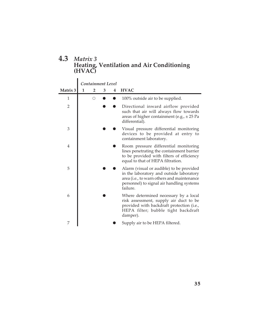## **4.3** *Matrix 3* **Heating, Ventilation and Air Conditioning (HVAC)**

|                |   |   | Containment Level |   |                                                                                                                                                                                             |
|----------------|---|---|-------------------|---|---------------------------------------------------------------------------------------------------------------------------------------------------------------------------------------------|
| Matrix 3       | 1 |   | 3                 | 4 | <b>HVAC</b>                                                                                                                                                                                 |
| 1              |   | ∩ |                   |   | 100% outside air to be supplied.                                                                                                                                                            |
| 2              |   |   |                   |   | Directional inward airflow provided<br>such that air will always flow towards<br>areas of higher containment (e.g., $\pm$ 25 Pa<br>differential).                                           |
| 3              |   |   |                   |   | Visual pressure differential monitoring<br>devices to be provided at entry to<br>containment laboratory.                                                                                    |
| $\overline{4}$ |   |   |                   |   | Room pressure differential monitoring<br>lines penetrating the containment barrier<br>to be provided with filters of efficiency<br>equal to that of HEPA filtration.                        |
| 5              |   |   |                   |   | Alarm (visual or audible) to be provided<br>in the laboratory and outside laboratory<br>area (i.e., to warn others and maintenance<br>personnel) to signal air handling systems<br>failure. |
| 6              |   |   |                   |   | Where determined necessary by a local<br>risk assessment, supply air duct to be<br>provided with backdraft protection (i.e.,<br>HEPA filter; bubble tight backdraft<br>damper).             |
| 7              |   |   |                   |   | Supply air to be HEPA filtered.                                                                                                                                                             |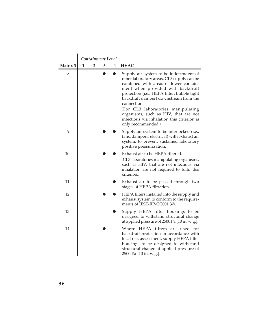|          |   | Containment Level |   |   |                                                                                                                                                                                                                                                                                                                                                                                                                             |
|----------|---|-------------------|---|---|-----------------------------------------------------------------------------------------------------------------------------------------------------------------------------------------------------------------------------------------------------------------------------------------------------------------------------------------------------------------------------------------------------------------------------|
| Matrix 3 | 1 | 2                 | 3 | 4 | <b>HVAC</b>                                                                                                                                                                                                                                                                                                                                                                                                                 |
| 8        |   |                   |   |   | Supply air system to be independent of<br>other laboratory areas. CL3 supply can be<br>combined with areas of lower contain-<br>ment when provided with backdraft<br>protection (i.e., HEPA filter, bubble tight<br>backdraft damper) downstream from the<br>connection.<br>(For CL3 laboratories manipulating<br>organisms, such as HIV, that are not<br>infectious via inhalation this criterion is<br>only recommended.) |
| 9        |   |                   |   |   | Supply air system to be interlocked (i.e.,<br>fans, dampers, electrical) with exhaust air<br>system, to prevent sustained laboratory<br>positive pressurization.                                                                                                                                                                                                                                                            |
| 10       |   |                   |   |   | Exhaust air to be HEPA filtered.<br>(CL3 laboratories manipulating organisms,<br>such as HIV, that are not infectious via<br>inhalation are not required to fulfil this<br>criterion.)                                                                                                                                                                                                                                      |
| 11       |   |                   |   |   | Exhaust air to be passed through two<br>stages of HEPA filtration.                                                                                                                                                                                                                                                                                                                                                          |
| 12       |   |                   |   |   | HEPA filters installed into the supply and<br>exhaust system to conform to the require-<br>ments of IEST-RP-CC001.3 <sup>(1)</sup> .                                                                                                                                                                                                                                                                                        |
| 13       |   |                   |   |   | Supply HEPA filter housings to be<br>designed to withstand structural change<br>at applied pressure of 2500 Pa [10 in. w.g.].                                                                                                                                                                                                                                                                                               |
| 14       |   |                   |   |   | Where HEPA filters are used for<br>backdraft protection in accordance with<br>local risk assessment, supply HEPA filter<br>housings to be designed to withstand<br>structural change at applied pressure of<br>2500 Pa [10 in. w.g.].                                                                                                                                                                                       |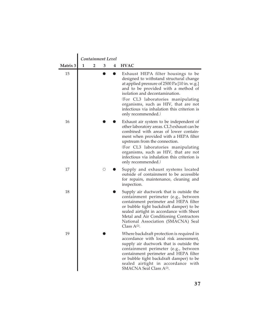|          |   |   | Containment Level |   |                                                                                                                                                                                                                                                                                                                                                             |
|----------|---|---|-------------------|---|-------------------------------------------------------------------------------------------------------------------------------------------------------------------------------------------------------------------------------------------------------------------------------------------------------------------------------------------------------------|
| Matrix 3 | 1 | 2 | 3                 | 4 | <b>HVAC</b>                                                                                                                                                                                                                                                                                                                                                 |
| 15       |   |   |                   |   | Exhaust HEPA filter housings to be<br>designed to withstand structural change<br>at applied pressure of 2500 Pa [10 in. w.g.]<br>and to be provided with a method of<br>isolation and decontamination.<br>(For CL3 laboratories manipulating<br>organisms, such as HIV, that are not<br>infectious via inhalation this criterion is<br>only recommended.)   |
| 16       |   |   |                   |   | Exhaust air system to be independent of<br>other laboratory areas. CL3 exhaust can be<br>combined with areas of lower contain-<br>ment when provided with a HEPA filter<br>upstream from the connection.<br>(For CL3 laboratories manipulating<br>organisms, such as HIV, that are not<br>infectious via inhalation this criterion is<br>only recommended.) |
| 17       |   |   | Ω                 |   | Supply and exhaust systems located<br>outside of containment to be accessible<br>for repairs, maintenance, cleaning and<br>inspection.                                                                                                                                                                                                                      |
| 18       |   |   |                   |   | Supply air ductwork that is outside the<br>containment perimeter (e.g., between<br>containment perimeter and HEPA filter<br>or bubble tight backdraft damper) to be<br>sealed airtight in accordance with Sheet<br>Metal and Air Conditioning Contractors<br>National Association (SMACNA) Seal<br>Class $A^{(2)}$ .                                        |
| 19       |   |   |                   |   | Where backdraft protection is required in<br>accordance with local risk assessment,<br>supply air ductwork that is outside the<br>containment perimeter (e.g., between<br>containment perimeter and HEPA filter<br>or bubble tight backdraft damper) to be<br>sealed airtight in accordance with<br>SMACNA Seal Class A <sup>(2)</sup> .                    |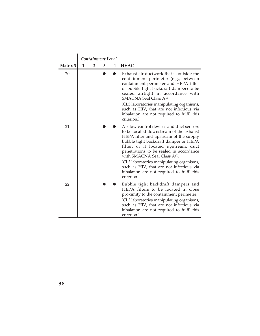|          |   | Containment Level |   |   |                                                                                                                                                                                                                                                                                                                                                                                                                                                             |
|----------|---|-------------------|---|---|-------------------------------------------------------------------------------------------------------------------------------------------------------------------------------------------------------------------------------------------------------------------------------------------------------------------------------------------------------------------------------------------------------------------------------------------------------------|
| Matrix 3 | 1 | $\overline{2}$    | 3 | 4 | <b>HVAC</b>                                                                                                                                                                                                                                                                                                                                                                                                                                                 |
| 20       |   |                   |   |   | Exhaust air ductwork that is outside the<br>containment perimeter (e.g., between<br>containment perimeter and HEPA filter<br>or bubble tight backdraft damper) to be<br>sealed airtight in accordance with<br>SMACNA Seal Class A <sup>(2)</sup> .<br>(CL3 laboratories manipulating organisms,<br>such as HIV, that are not infectious via<br>inhalation are not required to fulfil this<br>criterion.                                                     |
| 21       |   |                   |   |   | Airflow control devices and duct sensors<br>to be located downstream of the exhaust<br>HEPA filter and upstream of the supply<br>bubble tight backdraft damper or HEPA<br>filter, or if located upstream, duct<br>penetrations to be sealed in accordance<br>with SMACNA Seal Class A <sup>(2)</sup> .<br>(CL3 laboratories manipulating organisms,<br>such as HIV, that are not infectious via<br>inhalation are not required to fulfil this<br>criterion. |
| 22       |   |                   |   |   | Bubble tight backdraft dampers and<br>HEPA filters to be located in close<br>proximity to the containment perimeter.<br>(CL3 laboratories manipulating organisms,<br>such as HIV, that are not infectious via<br>inhalation are not required to fulfil this<br>criterion.                                                                                                                                                                                   |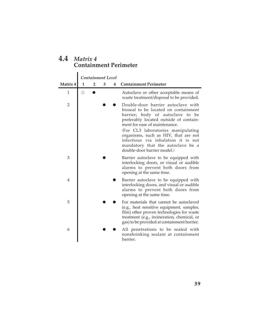| $4.4$ Matrix 4               |
|------------------------------|
| <b>Containment Perimeter</b> |

|                |            |                | Containment Level |   |                                                                                                                                                                                                                                                                                                                                                                                    |
|----------------|------------|----------------|-------------------|---|------------------------------------------------------------------------------------------------------------------------------------------------------------------------------------------------------------------------------------------------------------------------------------------------------------------------------------------------------------------------------------|
| Matrix 4       | 1          | $\overline{2}$ | 3                 | 4 | <b>Containment Perimeter</b>                                                                                                                                                                                                                                                                                                                                                       |
| 1              | $\bigcirc$ |                |                   |   | Autoclave or other acceptable means of<br>waste treatment/disposal to be provided.                                                                                                                                                                                                                                                                                                 |
| $\overline{2}$ |            |                |                   |   | Double-door barrier autoclave with<br>bioseal to be located on containment<br>barrier; body of autoclave to be<br>preferably located outside of contain-<br>ment for ease of maintenance.<br>(For CL3 laboratories manipulating<br>organisms, such as HIV, that are not<br>infectious via inhalation it is not<br>mandatory that the autoclave be a<br>double-door barrier model.) |
| 3              |            |                |                   |   | Barrier autoclave to be equipped with<br>interlocking doors, or visual or audible<br>alarms to prevent both doors from<br>opening at the same time.                                                                                                                                                                                                                                |
| $\overline{4}$ |            |                |                   |   | Barrier autoclave to be equipped with<br>interlocking doors, and visual or audible<br>alarms to prevent both doors from<br>opening at the same time.                                                                                                                                                                                                                               |
| 5              |            |                |                   |   | For materials that cannot be autoclaved<br>(e.g., heat sensitive equipment, samples,<br>film) other proven technologies for waste<br>treatment (e.g., incineration, chemical, or<br>gas) to be provided at containment barrier.                                                                                                                                                    |
| 6              |            |                |                   |   | All penetrations to be sealed with<br>nonshrinking sealant at containment<br>barrier.                                                                                                                                                                                                                                                                                              |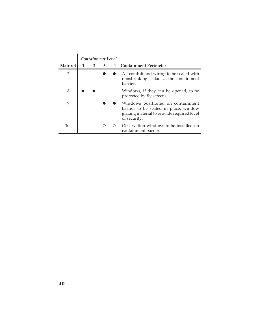| Matrix 4 | Containment Level<br>$\overline{2}$ | 3 | 4 | <b>Containment Perimeter</b>                                                                                                             |
|----------|-------------------------------------|---|---|------------------------------------------------------------------------------------------------------------------------------------------|
| 7        |                                     |   |   | All conduit and wiring to be sealed with<br>nonshrinking sealant at the containment<br>barrier.                                          |
| 8        |                                     |   |   | Windows, if they can be opened, to be<br>protected by fly screens.                                                                       |
| 9        |                                     |   |   | Windows positioned on containment<br>barrier to be sealed in place; window<br>glazing material to provide required level<br>of security. |
| 10       |                                     |   |   | Observation windows to be installed on<br>containment barrier.                                                                           |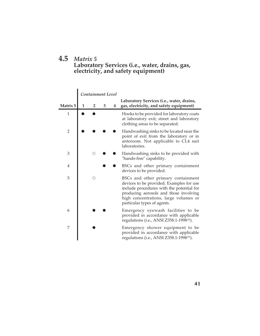## **4.5** *Matrix 5* **Laboratory Services (i.e., water, drains, gas, electricity, and safety equipment)**

|                |              | Containment Level |   |   |                                                                                                                                                                                                                                               |
|----------------|--------------|-------------------|---|---|-----------------------------------------------------------------------------------------------------------------------------------------------------------------------------------------------------------------------------------------------|
| Matrix 5       | $\mathbf{1}$ | 2                 | 3 | 4 | Laboratory Services (i.e., water, drains,<br>gas, electricity, and safety equipment)                                                                                                                                                          |
| $\mathbf{1}$   |              |                   |   |   | Hooks to be provided for laboratory coats<br>at laboratory exit; street and laboratory<br>clothing areas to be separated.                                                                                                                     |
| $\overline{2}$ |              |                   |   |   | Handwashing sinks to be located near the<br>point of exit from the laboratory or in<br>anteroom. Not applicable to CL4 suit<br>laboratories.                                                                                                  |
| 3              |              | О                 |   |   | Handwashing sinks to be provided with<br>"hands-free" capability.                                                                                                                                                                             |
| 4              |              |                   |   |   | BSCs and other primary containment<br>devices to be provided.                                                                                                                                                                                 |
| 5              |              | ()                |   |   | BSCs and other primary containment<br>devices to be provided. Examples for use<br>include procedures with the potential for<br>producing aerosols and those involving<br>high concentrations, large volumes or<br>particular types of agents. |
| 6              |              |                   |   |   | Emergency eyewash facilities to be<br>provided in accordance with applicable<br>regulations (i.e., ANSI Z358.1-1998(3).                                                                                                                       |
| 7              |              |                   |   |   | Emergency shower equipment to be<br>provided in accordance with applicable<br>regulations (i.e., ANSI Z358.1-1998(3).                                                                                                                         |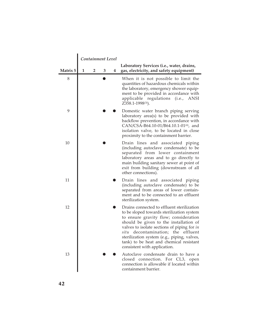|                 |   |   | Containment Level |   |                                                                                                                                                                                                                                                                                                                                                                                              |
|-----------------|---|---|-------------------|---|----------------------------------------------------------------------------------------------------------------------------------------------------------------------------------------------------------------------------------------------------------------------------------------------------------------------------------------------------------------------------------------------|
| <b>Matrix 5</b> | 1 | 2 | 3                 | 4 | Laboratory Services (i.e., water, drains,<br>gas, electricity, and safety equipment)                                                                                                                                                                                                                                                                                                         |
| 8               |   |   |                   |   | When it is not possible to limit the<br>quantities of hazardous chemicals within<br>the laboratory, emergency shower equip-<br>ment to be provided in accordance with<br>applicable<br>regulations (i.e.,<br>ANSI<br>Z358.1-1998(3).                                                                                                                                                         |
| 9               |   |   |                   |   | Domestic water branch piping serving<br>laboratory area(s) to be provided with<br>backflow prevention, in accordance with<br>CAN/CSA-B64.10-01/B64.10.1-01 <sup>(4)</sup> , and<br>isolation valve, to be located in close<br>proximity to the containment barrier.                                                                                                                          |
| 10              |   |   |                   |   | Drain lines and associated piping<br>(including autoclave condensate) to be<br>separated from lower containment<br>laboratory areas and to go directly to<br>main building sanitary sewer at point of<br>exit from building (downstream of all<br>other connections).                                                                                                                        |
| 11              |   |   |                   |   | Drain lines and associated piping<br>(including autoclave condensate) to be<br>separated from areas of lower contain-<br>ment and to be connected to an effluent<br>sterilization system.                                                                                                                                                                                                    |
| 12              |   |   |                   |   | Drains connected to effluent sterilization<br>to be sloped towards sterilization system<br>to ensure gravity flow; consideration<br>should be given to the installation of<br>valves to isolate sections of piping for in<br>decontamination; the effluent<br>situ<br>sterilization system (e.g., piping, valves,<br>tank) to be heat and chemical resistant<br>consistent with application. |
| 13              |   |   |                   |   | Autoclave condensate drain to have a<br>closed connection.<br>For CL3, open<br>connection is allowable if located within<br>containment barrier.                                                                                                                                                                                                                                             |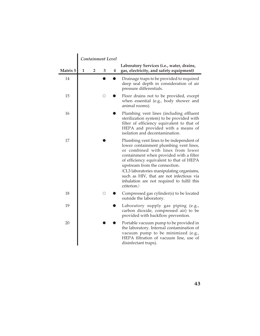|          |              | Containment Level       |   |                  |                                                                                                                                                                                                                                                                                                                                                                                                      |
|----------|--------------|-------------------------|---|------------------|------------------------------------------------------------------------------------------------------------------------------------------------------------------------------------------------------------------------------------------------------------------------------------------------------------------------------------------------------------------------------------------------------|
| Matrix 5 | $\mathbf{1}$ | $\overline{\mathbf{2}}$ | 3 | $\boldsymbol{4}$ | Laboratory Services (i.e., water, drains,<br>gas, electricity, and safety equipment)                                                                                                                                                                                                                                                                                                                 |
| 14       |              |                         |   |                  | Drainage traps to be provided to required<br>deep seal depth in consideration of air<br>pressure differentials.                                                                                                                                                                                                                                                                                      |
| 15       |              |                         | О |                  | Floor drains not to be provided, except<br>when essential (e.g., body shower and<br>animal rooms).                                                                                                                                                                                                                                                                                                   |
| 16       |              |                         |   |                  | Plumbing vent lines (including effluent<br>sterilization system) to be provided with<br>filter of efficiency equivalent to that of<br>HEPA and provided with a means of<br>isolation and decontamination.                                                                                                                                                                                            |
| 17       |              |                         |   |                  | Plumbing vent lines to be independent of<br>lower containment plumbing vent lines,<br>or combined with lines from lower<br>containment when provided with a filter<br>of efficiency equivalent to that of HEPA<br>upstream from the connection.<br>(CL3 laboratories manipulating organisms,<br>such as HIV, that are not infectious via<br>inhalation are not required to fulfil this<br>criterion. |
| 18       |              |                         | О |                  | Compressed gas cylinder(s) to be located<br>outside the laboratory.                                                                                                                                                                                                                                                                                                                                  |
| 19       |              |                         |   |                  | Laboratory supply gas piping (e.g.,<br>carbon dioxide, compressed air) to be<br>provided with backflow prevention.                                                                                                                                                                                                                                                                                   |
| 20       |              |                         |   |                  | Portable vacuum pump to be provided in<br>the laboratory. Internal contamination of<br>vacuum pump to be minimized (e.g.,<br>HEPA filtration of vacuum line, use of<br>disinfectant traps).                                                                                                                                                                                                          |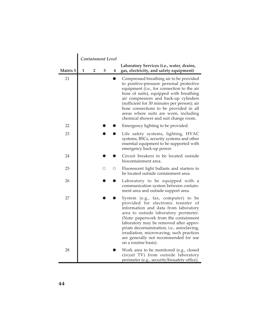|          |              | Containment Level |   |   |                                                                                                                                                                                                                                                                                                                                                                                                          |
|----------|--------------|-------------------|---|---|----------------------------------------------------------------------------------------------------------------------------------------------------------------------------------------------------------------------------------------------------------------------------------------------------------------------------------------------------------------------------------------------------------|
| Matrix 5 | $\mathbf{1}$ | 2                 | 3 | 4 | Laboratory Services (i.e., water, drains,<br>gas, electricity, and safety equipment)                                                                                                                                                                                                                                                                                                                     |
| 21       |              |                   |   |   | Compressed breathing air to be provided<br>to positive-pressure personal protective<br>equipment (i.e., for connection to the air<br>hose of suits), equipped with breathing<br>air compressors and back-up cylinders<br>(sufficient for 30 minutes per person); air<br>hose connections to be provided in all<br>areas where suits are worn, including<br>chemical shower and suit change room.         |
| 22       |              |                   |   |   | Emergency lighting to be provided.                                                                                                                                                                                                                                                                                                                                                                       |
| 23       |              |                   |   |   | Life safety systems, lighting, HVAC<br>systems, BSCs, security systems and other<br>essential equipment to be supported with<br>emergency back-up power.                                                                                                                                                                                                                                                 |
| 24       |              |                   |   |   | Circuit breakers to be located outside<br>biocontainment area.                                                                                                                                                                                                                                                                                                                                           |
| 25       |              |                   | Ω | О | Fluorescent light ballasts and starters to<br>be located outside containment area.                                                                                                                                                                                                                                                                                                                       |
| 26       |              |                   |   |   | Laboratory to be equipped with a<br>communication system between contain-<br>ment area and outside support area.                                                                                                                                                                                                                                                                                         |
| 27       |              |                   |   |   | System (e.g., fax, computer) to be<br>provided for electronic transfer of<br>information and data from laboratory<br>area to outside laboratory perimeter.<br>(Note: paperwork from the containment<br>laboratory may be removed after appro-<br>priate decontamination, i.e., autoclaving,<br>irradiation, microwaving; such practices<br>are generally not recommended for use<br>on a routine basis). |
| 28       |              |                   |   |   | Work area to be monitored (e.g., closed<br>circuit TV) from outside laboratory<br>perimeter (e.g., security/biosafety office).                                                                                                                                                                                                                                                                           |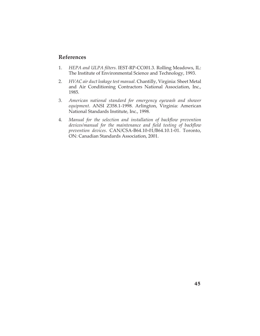#### **References**

- 1. *HEPA and ULPA filters*. IEST-RP-CC001.3. Rolling Meadows, IL: The Institute of Environmental Science and Technology, 1993.
- 2. *HVAC air duct leakage test manual*. Chantilly, Virginia: Sheet Metal and Air Conditioning Contractors National Association, Inc., 1985.
- 3. *American national standard for emergency eyewash and shower equipment*. ANSI Z358.1-1998. Arlington, Virginia: American National Standards Institute, Inc., 1998.
- 4. *Manual for the selection and installation of backflow prevention devices/manual for the maintenance and field testing of backflow prevention devices*. CAN/CSA-B64.10-01/B64.10.1-01. Toronto, ON: Canadian Standards Association, 2001.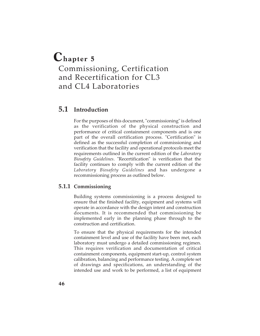# **Chapter 5** Commissioning, Certification

and Recertification for CL3 and CL4 Laboratories

## **5.1 Introduction**

For the purposes of this document, "commissioning" is defined as the verification of the physical construction and performance of critical containment components and is one part of the overall certification process. "Certification" is defined as the successful completion of commissioning and verification that the facility and operational protocols meet the requirements outlined in the current edition of the *Laboratory Biosafety Guidelines*. "Recertification" is verification that the facility continues to comply with the current edition of the *Laboratory Biosafety Guidelines* and has undergone a recommissioning process as outlined below.

#### **5.1.1 Commissioning**

Building systems commissioning is a process designed to ensure that the finished facility, equipment and systems will operate in accordance with the design intent and construction documents. It is recommended that commissioning be implemented early in the planning phase through to the construction and certification.

To ensure that the physical requirements for the intended containment level and use of the facility have been met, each laboratory must undergo a detailed commissioning regimen. This requires verification and documentation of critical containment components, equipment start-up, control system calibration, balancing and performance testing. A complete set of drawings and specifications, an understanding of the intended use and work to be performed, a list of equipment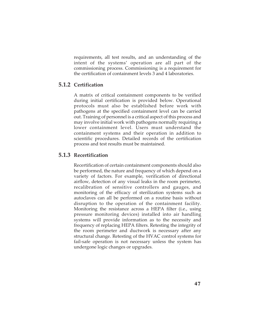requirements, all test results, and an understanding of the intent of the systems' operation are all part of the commissioning process. Commissioning is a requirement for the certification of containment levels 3 and 4 laboratories.

#### **5.1.2 Certification**

A matrix of critical containment components to be verified during initial certification is provided below. Operational protocols must also be established before work with pathogens at the specified containment level can be carried out. Training of personnel is a critical aspect of this process and may involve initial work with pathogens normally requiring a lower containment level. Users must understand the containment systems and their operation in addition to scientific procedures. Detailed records of the certification process and test results must be maintained.

#### **5.1.3 Recertification**

Recertification of certain containment components should also be performed, the nature and frequency of which depend on a variety of factors. For example, verification of directional airflow, detection of any visual leaks in the room perimeter, recalibration of sensitive controllers and gauges, and monitoring of the efficacy of sterilization systems such as autoclaves can all be performed on a routine basis without disruption to the operation of the containment facility. Monitoring the resistance across a HEPA filter (i.e., using pressure monitoring devices) installed into air handling systems will provide information as to the necessity and frequency of replacing HEPA filters. Retesting the integrity of the room perimeter and ductwork is necessary after any structural change. Retesting of the HVAC control systems for fail-safe operation is not necessary unless the system has undergone logic changes or upgrades.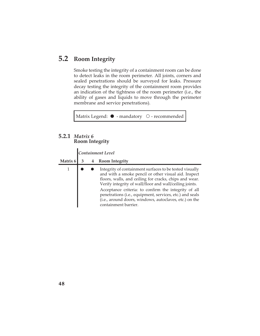## **5.2 Room Integrity**

Smoke testing the integrity of a containment room can be done to detect leaks in the room perimeter. All joints, corners and sealed penetrations should be surveyed for leaks. Pressure decay testing the integrity of the containment room provides an indication of the tightness of the room perimeter (i.e., the ability of gases and liquids to move through the perimeter membrane and service penetrations).

Matrix Legend:  $\bullet$  - mandatory  $\circ$  - recommended

#### **5.2.1** *Matrix 6* **Room Integrity**

|          |   |   | Containment Level                                                                                                                                                                                                                                                                                                                                                                                                                          |
|----------|---|---|--------------------------------------------------------------------------------------------------------------------------------------------------------------------------------------------------------------------------------------------------------------------------------------------------------------------------------------------------------------------------------------------------------------------------------------------|
| Matrix 6 | 3 | 4 | <b>Room Integrity</b>                                                                                                                                                                                                                                                                                                                                                                                                                      |
|          |   |   | Integrity of containment surfaces to be tested visually<br>and with a smoke pencil or other visual aid. Inspect<br>floors, walls, and ceiling for cracks, chips and wear.<br>Verify integrity of wall/floor and wall/ceiling joints.<br>Acceptance criteria: to confirm the integrity of all<br>penetrations (i.e., equipment, services, etc.) and seals<br>(i.e., around doors, windows, autoclaves, etc.) on the<br>containment barrier. |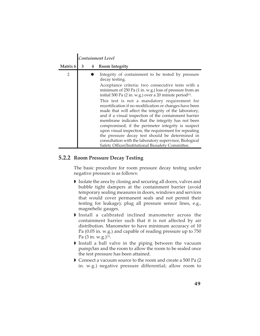|                |   | <b>Containment Level</b> |                                                                                                                                                                                                                                                                                                                                                                                                                                                                                                                                                                                                                                                                                                                                                                                                                                   |  |  |  |  |
|----------------|---|--------------------------|-----------------------------------------------------------------------------------------------------------------------------------------------------------------------------------------------------------------------------------------------------------------------------------------------------------------------------------------------------------------------------------------------------------------------------------------------------------------------------------------------------------------------------------------------------------------------------------------------------------------------------------------------------------------------------------------------------------------------------------------------------------------------------------------------------------------------------------|--|--|--|--|
| Matrix 6       | 3 | 4                        | <b>Room Integrity</b>                                                                                                                                                                                                                                                                                                                                                                                                                                                                                                                                                                                                                                                                                                                                                                                                             |  |  |  |  |
| $\overline{2}$ |   |                          | Integrity of containment to be tested by pressure<br>decay testing.<br>Acceptance criteria: two consecutive tests with a<br>minimum of 250 Pa (1 in. w.g.) loss of pressure from an<br>initial 500 Pa (2 in. w.g.) over a 20 minute period <sup>(1)</sup> .<br>This test is not a mandatory requirement for<br>recertification if no modification or changes have been<br>made that will affect the integrity of the laboratory,<br>and if a visual inspection of the containment barrier<br>membrane indicates that the integrity has not been<br>compromised; if the perimeter integrity is suspect<br>upon visual inspection, the requirement for repeating<br>the pressure decay test should be determined in<br>consultation with the laboratory supervisor, Biological<br>Safety Officer/Institutional Biosafety Committee. |  |  |  |  |

#### **5.2.2 Room Pressure Decay Testing**

The basic procedure for room pressure decay testing under negative pressure is as follows:

- Isolate the area by closing and securing all doors, valves and bubble tight dampers at the containment barrier (avoid temporary sealing measures in doors, windows and services that would cover permanent seals and not permit their testing for leakage); plug all pressure sensor lines, e.g., magnehelic gauges.
- Install a calibrated inclined manometer across the containment barrier such that it is not affected by air distribution. Manometer to have minimum accuracy of 10 Pa (0.05 in. w.g.) and capable of reading pressure up to 750 Pa  $(3 \text{ in. } w.g.)$ <sup>(1)</sup>.
- Install a ball valve in the piping between the vacuum pump/fan and the room to allow the room to be sealed once the test pressure has been attained.
- Connect a vacuum source to the room and create a 500 Pa (2 in. w.g.) negative pressure differential; allow room to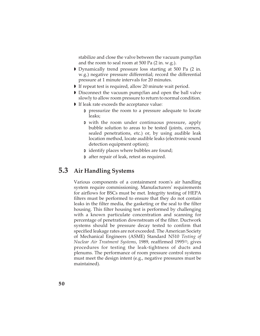stabilize and close the valve between the vacuum pump/fan and the room to seal room at 500 Pa (2 in. w.g.).

- Dynamically trend pressure loss starting at 500 Pa (2 in. w.g.) negative pressure differential; record the differential pressure at 1 minute intervals for 20 minutes.
- If repeat test is required, allow 20 minute wait period.
- Disconnect the vacuum pump/fan and open the ball valve slowly to allow room pressure to return to normal condition.
- If leak rate exceeds the acceptance value:
	- pressurize the room to a pressure adequate to locate leaks;
	- with the room under continuous pressure, apply bubble solution to areas to be tested (joints, corners, sealed penetrations, etc.) or, by using audible leak location method, locate audible leaks (electronic sound detection equipment option);
	- D identify places where bubbles are found;
	- after repair of leak, retest as required.

## **5.3 Air Handling Systems**

Various components of a containment room's air handling system require commissioning. Manufacturers' requirements for airflows for BSCs must be met. Integrity testing of HEPA filters must be performed to ensure that they do not contain leaks in the filter media, the gasketing or the seal to the filter housing. This filter housing test is performed by challenging with a known particulate concentration and scanning for percentage of penetration downstream of the filter. Ductwork systems should be pressure decay tested to confirm that specified leakage rates are not exceeded. The American Society of Mechanical Engineers (ASME) Standard N510 *Testing of Nuclear Air Treatment Systems*, 1989, reaffirmed 1995(2), gives procedures for testing the leak-tightness of ducts and plenums. The performance of room pressure control systems must meet the design intent (e.g., negative pressures must be maintained).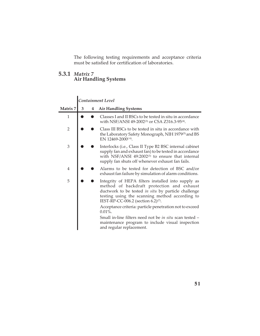The following testing requirements and acceptance criteria must be satisfied for certification of laboratories.

#### **5.3.1** *Matrix 7* **Air Handling Systems**

|                |   |   | Containment Level                                                                                                                                                                                                                                                                                                       |
|----------------|---|---|-------------------------------------------------------------------------------------------------------------------------------------------------------------------------------------------------------------------------------------------------------------------------------------------------------------------------|
| Matrix 7       | 3 | 4 | <b>Air Handling Systems</b>                                                                                                                                                                                                                                                                                             |
| $\mathbf{1}$   |   |   | Classes I and II BSCs to be tested in situ in accordance<br>with NSF/ANSI 49-2002 <sup>(3)</sup> or CSA Z316.3-95 <sup>(4)</sup> .                                                                                                                                                                                      |
| $\overline{2}$ |   |   | Class III BSCs to be tested in situ in accordance with<br>the Laboratory Safety Monograph, NIH 1979(5) and BS<br>EN 12469-2000 $(6)$ .                                                                                                                                                                                  |
| 3              |   |   | Interlocks (i.e., Class II Type B2 BSC internal cabinet<br>supply fan and exhaust fan) to be tested in accordance<br>with NSF/ANSI 49:2002 <sup>(3)</sup> to ensure that internal<br>supply fan shuts off whenever exhaust fan fails.                                                                                   |
| 4              |   |   | Alarms to be tested for detection of BSC and/or<br>exhaust fan failure by simulation of alarm conditions.                                                                                                                                                                                                               |
| 5              |   |   | Integrity of HEPA filters installed into supply as<br>method of backdraft protection and exhaust<br>ductwork to be tested in situ by particle challenge<br>testing using the scanning method according to<br>IEST-RP-CC-006.2 (section 6.2) <sup>(7)</sup> .<br>Acceptance criteria: particle penetration not to exceed |
|                |   |   | $0.01\%$ .<br>Small in-line filters need not be in situ scan tested -<br>maintenance program to include visual inspection<br>and regular replacement.                                                                                                                                                                   |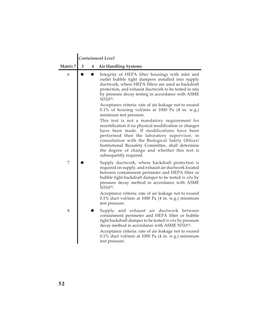|          |   |   | Containment Level                                                                                                                                                                                                                                                                                                                                                                         |
|----------|---|---|-------------------------------------------------------------------------------------------------------------------------------------------------------------------------------------------------------------------------------------------------------------------------------------------------------------------------------------------------------------------------------------------|
| Matrix 7 | 3 | 4 | <b>Air Handling Systems</b>                                                                                                                                                                                                                                                                                                                                                               |
| 6        |   |   | Integrity of HEPA filter housings with inlet and<br>outlet bubble tight dampers installed into supply<br>ductwork, where HEPA filters are used as backdraft<br>protection, and exhaust ductwork to be tested in situ<br>by pressure decay testing in accordance with ASME<br>$N510^{(2)}$ .                                                                                               |
|          |   |   | Acceptance criteria: rate of air leakage not to exceed<br>$0.1\%$ of housing vol/min at 1000 Pa (4 in. w.g.)<br>minimum test pressure.                                                                                                                                                                                                                                                    |
|          |   |   | This test is not a mandatory requirement for<br>recertification if no physical modification or changes<br>have been made. If modifications have been<br>performed then the laboratory supervisor, in<br>consultation with the Biological Safety Officer/<br>Institutional Biosafety Committee, shall determine<br>the degree of change and whether this test is<br>subsequently required. |
| 7        |   |   | Supply ductwork, where backdraft protection is<br>required on supply, and exhaust air ductwork located<br>between containment perimeter and HEPA filter or<br>bubble tight backdraft damper to be tested in situ by<br>pressure decay method in accordance with ASME<br>N510(2).                                                                                                          |
|          |   |   | Acceptance criteria: rate of air leakage not to exceed<br>0.1% duct vol/min at 1000 Pa (4 in. w.g.) minimum<br>test pressure.                                                                                                                                                                                                                                                             |
| 8        |   |   | Supply and exhaust air ductwork between<br>containment perimeter and HEPA filter or bubble<br>tight backdraft damper to be tested in situ by pressure<br>decay method in accordance with ASME N510(2).<br>Acceptance criteria: rate of air leakage not to exceed<br>$0.1\%$ duct vol/min at 1000 Pa $(4 \text{ in. w.g.})$ minimum<br>test pressure.                                      |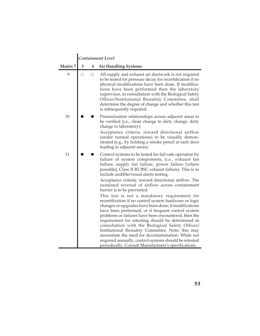|          | Containment Level |            |                                                                                                                                                                                                                                                                                                                                                                                                                                                                                                                                                                                                                                                                                                                                                                                                                                                                                                                                                                                                                                       |  |  |  |  |
|----------|-------------------|------------|---------------------------------------------------------------------------------------------------------------------------------------------------------------------------------------------------------------------------------------------------------------------------------------------------------------------------------------------------------------------------------------------------------------------------------------------------------------------------------------------------------------------------------------------------------------------------------------------------------------------------------------------------------------------------------------------------------------------------------------------------------------------------------------------------------------------------------------------------------------------------------------------------------------------------------------------------------------------------------------------------------------------------------------|--|--|--|--|
| Matrix 7 | 3                 | 4          | <b>Air Handling Systems</b>                                                                                                                                                                                                                                                                                                                                                                                                                                                                                                                                                                                                                                                                                                                                                                                                                                                                                                                                                                                                           |  |  |  |  |
| 9        | $\bigcirc$        | $\bigcirc$ | All supply and exhaust air ductwork is not required<br>to be tested for pressure decay for recertification if no<br>physical modifications have been done. If modifica-<br>tions have been performed then the laboratory<br>supervisor, in consultation with the Biological Safety<br>Officer/Institutional Biosafety Committee, shall<br>determine the degree of change and whether this test<br>is subsequently required.                                                                                                                                                                                                                                                                                                                                                                                                                                                                                                                                                                                                           |  |  |  |  |
| 10       |                   |            | Pressurization relationships across adjacent areas to<br>be verified (i.e., clean change to dirty change, dirty<br>change to laboratory).<br>Acceptance criteria: inward directional airflow<br>(under normal operations) to be visually demon-<br>strated (e.g., by holding a smoke pencil at each door<br>leading to adjacent areas).                                                                                                                                                                                                                                                                                                                                                                                                                                                                                                                                                                                                                                                                                               |  |  |  |  |
| 11       |                   |            | Control systems to be tested for fail-safe operation by<br>failure of system components, (i.e., exhaust fan<br>failure, supply fan failure, power failure [where<br>possible], Class II B2 BSC exhaust failure). This is to<br>include audible/visual alarm testing.<br>Acceptance criteria: inward directional airflow. The<br>sustained reversal of airflow across containment<br>barrier is to be prevented.<br>This test is not a mandatory requirement for<br>recertification if no control system hardware or logic<br>changes or upgrades have been done; if modifications<br>have been performed, or if frequent control system<br>problems or failures have been encountered, then the<br>requirement for retesting should be determined in<br>consultation with the Biological Safety Officer/<br>Institutional Biosafety Committee. Note, this may<br>necessitate the need for decontamination. While not<br>required annually, control systems should be retested<br>periodically. Consult Manufacturer's specifications. |  |  |  |  |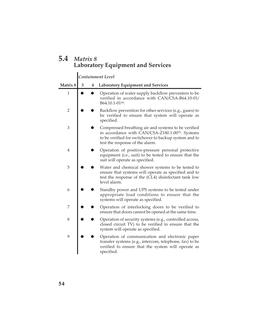## **5.4** *Matrix 8* **Laboratory Equipment and Services**

|                |   | Containment Level |                                                                                                                                                                                                                  |  |  |  |  |  |  |
|----------------|---|-------------------|------------------------------------------------------------------------------------------------------------------------------------------------------------------------------------------------------------------|--|--|--|--|--|--|
| Matrix 8       | 3 | 4                 | <b>Laboratory Equipment and Services</b>                                                                                                                                                                         |  |  |  |  |  |  |
| $\mathbf{1}$   |   |                   | Operation of water supply backflow preventers to be<br>verified in accordance with CAN/CSA-B64.10-01/<br>$B64.10.1 - 01^{(8)}$ .                                                                                 |  |  |  |  |  |  |
| $\overline{2}$ |   |                   | Backflow prevention for other services (e.g., gases) to<br>be verified to ensure that system will operate as<br>specified.                                                                                       |  |  |  |  |  |  |
| 3              |   |                   | Compressed breathing air and systems to be verified<br>in accordance with CAN/CSA-Z180.1-00 <sup>(9)</sup> . Systems<br>to be verified for switchover to backup system and to<br>test the response of the alarm. |  |  |  |  |  |  |
| $\overline{4}$ |   |                   | Operation of positive-pressure personal protective<br>equipment (i.e., suit) to be tested to ensure that the<br>suit will operate as specified.                                                                  |  |  |  |  |  |  |
| 5              |   |                   | Water and chemical shower systems to be tested to<br>ensure that systems will operate as specified and to<br>test the response of the (CL4) disinfectant tank low<br>level alarm.                                |  |  |  |  |  |  |
| 6              |   |                   | Standby power and UPS systems to be tested under<br>appropriate load conditions to ensure that the<br>systems will operate as specified.                                                                         |  |  |  |  |  |  |
| 7              |   |                   | Operation of interlocking doors to be verified to<br>ensure that doors cannot be opened at the same time.                                                                                                        |  |  |  |  |  |  |
| 8              |   |                   | Operation of security systems (e.g., controlled access,<br>closed circuit TV) to be verified to ensure that the<br>system will operate as specified.                                                             |  |  |  |  |  |  |
| 9              |   |                   | Operation of communication and electronic paper<br>transfer systems (e.g., intercom, telephone, fax) to be<br>verified to ensure that the system will operate as<br>specified.                                   |  |  |  |  |  |  |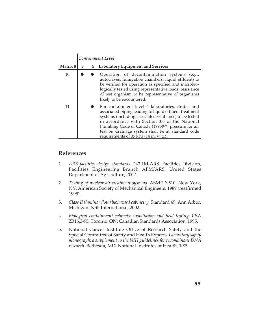|          |   | Containment Level |                                                                                                                                                                                                                                                                                                                                                                                           |  |  |  |  |
|----------|---|-------------------|-------------------------------------------------------------------------------------------------------------------------------------------------------------------------------------------------------------------------------------------------------------------------------------------------------------------------------------------------------------------------------------------|--|--|--|--|
| Matrix 8 | 3 | 4                 | <b>Laboratory Equipment and Services</b>                                                                                                                                                                                                                                                                                                                                                  |  |  |  |  |
| 10       |   |                   | Operation of decontamination systems (e.g.,<br>autoclaves, fumigation chambers, liquid effluent) to<br>be verified for operation as specified and microbio-<br>logically tested using representative loads; resistance<br>of test organism to be representative of organisms<br>likely to be encountered.                                                                                 |  |  |  |  |
| 11       |   |                   | For containment level 4 laboratories, drains and<br>associated piping leading to liquid effluent treatment<br>systems (including associated vent lines) to be tested<br>in accordance with Section 3.6 of the National<br>Plumbing Code of Canada (1995) <sup>(10)</sup> ; pressure for air<br>test on drainage system shall be at standard code<br>requirements of 35 kPa (14 in. w.g.). |  |  |  |  |

#### **References**

- 1. *ARS facilities design standards.* 242.1M-ARS. Facilities Division, Facilities Engineering Branch AFM/ARS, United States Department of Agriculture, 2002.
- 2. *Testing of nuclear air treatment systems.* ASME N510. New York, NY: American Society of Mechanical Engineers, 1989 (reaffirmed 1995).
- 3. *Class II (laminar flow) biohazard cabinetry.* Standard 49. Ann Arbor, Michigan: NSF International, 2002.
- 4. *Biological containment cabinets: installation and field testing.* CSA Z316.3-95. Toronto, ON: Canadian Standards Association, 1995.
- 5. National Cancer Institute Office of Research Safety and the Special Committee of Safety and Health Experts. *Laboratory safety monograph: a supplement to the NIH guidelines for recombinant DNA research*. Bethesda, MD: National Institutes of Health, 1979.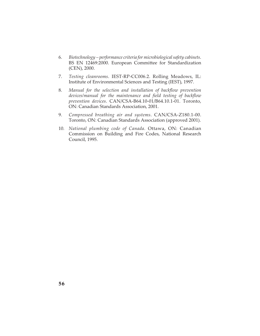- 6. *Biotechnology performance criteria for microbiological safety cabinets*. BS EN 12469:2000. European Committee for Standardization (CEN), 2000.
- 7. *Testing cleanrooms*. IEST-RP-CC006.2. Rolling Meadows, IL: Institute of Environmental Sciences and Testing (IEST), 1997.
- 8. *Manual for the selection and installation of backflow prevention devices/manual for the maintenance and field testing of backflow prevention devices*. CAN/CSA-B64.10-01/B64.10.1-01. Toronto, ON: Canadian Standards Association, 2001.
- 9. *Compressed breathing air and systems*. CAN/CSA-Z180.1-00. Toronto, ON: Canadian Standards Association (approved 2001).
- 10. *National plumbing code of Canada*. Ottawa, ON: Canadian Commission on Building and Fire Codes, National Research Council, 1995.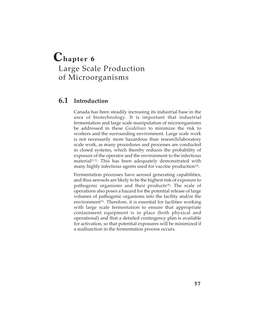## **Chapter 6** Large Scale Production of Microorganisms

## **6.1 Introduction**

Canada has been steadily increasing its industrial base in the area of biotechnology. It is important that industrial fermentation and large scale manipulation of microorganisms be addressed in these *Guidelines* to minimize the risk to workers and the surrounding environment. Large scale work is not necessarily more hazardous than research/laboratory scale work, as many procedures and processes are conducted in closed systems, which thereby reduces the probability of exposure of the operator and the environment to the infectious material<sup>(1,2)</sup>. This has been adequately demonstrated with many highly infectious agents used for vaccine production<sup>(3)</sup>.

Fermentation processes have aerosol generating capabilities, and thus aerosols are likely to be the highest risk of exposure to pathogenic organisms and their products $(4)$ . The scale of operations also poses a hazard for the potential release of large volumes of pathogenic organisms into the facility and/or the environment<sup> $(1)$ </sup>. Therefore, it is essential for facilities working with large scale fermentation to ensure that appropriate containment equipment is in place (both physical and operational) and that a detailed contingency plan is available for activation, so that potential exposures will be minimized if a malfunction in the fermentation process occurs.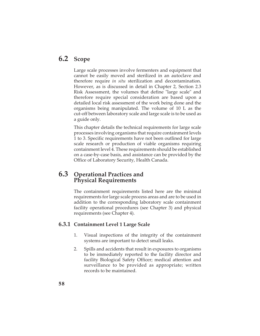## **6.2 Scope**

Large scale processes involve fermenters and equipment that cannot be easily moved and sterilized in an autoclave and therefore require *in situ* sterilization and decontamination. However, as is discussed in detail in Chapter 2, Section 2.3 Risk Assessment, the volumes that define "large scale" and therefore require special consideration are based upon a detailed local risk assessment of the work being done and the organisms being manipulated. The volume of 10 L as the cut-off between laboratory scale and large scale is to be used as a guide only.

This chapter details the technical requirements for large scale processes involving organisms that require containment levels 1 to 3. Specific requirements have not been outlined for large scale research or production of viable organisms requiring containment level 4. These requirements should be established on a case-by-case basis, and assistance can be provided by the Office of Laboratory Security, Health Canada.

## **6.3 Operational Practices and Physical Requirements**

The containment requirements listed here are the minimal requirements for large scale process areas and are to be used in addition to the corresponding laboratory scale containment facility operational procedures (see Chapter 3) and physical requirements (see Chapter 4).

#### **6.3.1 Containment Level 1 Large Scale**

- 1. Visual inspections of the integrity of the containment systems are important to detect small leaks.
- 2. Spills and accidents that result in exposures to organisms to be immediately reported to the facility director and facility Biological Safety Officer; medical attention and surveillance to be provided as appropriate; written records to be maintained.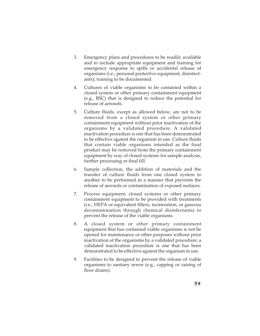- 3. Emergency plans and procedures to be readily available and to include appropriate equipment and training for emergency response to spills or accidental release of organisms (i.e., personal protective equipment, disinfectants); training to be documented.
- 4. Cultures of viable organisms to be contained within a closed system or other primary containment equipment (e.g., BSC) that is designed to reduce the potential for release of aerosols.
- 5. Culture fluids, except as allowed below, are not to be removed from a closed system or other primary containment equipment without prior inactivation of the organisms by a validated procedure. A validated inactivation procedure is one that has been demonstrated to be effective against the organism in use. Culture fluids that contain viable organisms intended as the final product may be removed from the primary containment equipment by way of closed systems for sample analysis, further processing or final fill.
- 6. Sample collection, the addition of materials and the transfer of culture fluids from one closed system to another to be performed in a manner that prevents the release of aerosols or contamination of exposed surfaces.
- 7. Process equipment, closed systems or other primary containment equipment to be provided with treatments (i.e., HEPA or equivalent filters, incineration, or gaseous decontamination through chemical disinfectants) to prevent the release of the viable organisms.
- 8. A closed system or other primary containment equipment that has contained viable organisms is not be opened for maintenance or other purposes without prior inactivation of the organisms by a validated procedure; a validated inactivation procedure is one that has been demonstrated to be effective against the organism in use.
- 9. Facilities to be designed to prevent the release of viable organisms to sanitary sewer (e.g., capping or raising of floor drains).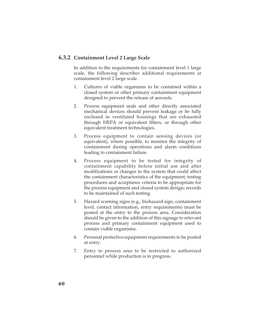#### **6.3.2 Containment Level 2 Large Scale**

In addition to the requirements for containment level 1 large scale, the following describes additional requirements at containment level 2 large scale.

- 1. Cultures of viable organisms to be contained within a closed system or other primary containment equipment designed to prevent the release of aerosols.
- 2. Process equipment seals and other directly associated mechanical devices should prevent leakage or be fully enclosed in ventilated housings that are exhausted through HEPA or equivalent filters, or through other equivalent treatment technologies.
- 3. Process equipment to contain sensing devices (or equivalent), where possible, to monitor the integrity of containment during operations and alarm conditions leading to containment failure.
- 4. Process equipment to be tested for integrity of containment capability before initial use and after modifications or changes to the system that could affect the containment characteristics of the equipment; testing procedures and acceptance criteria to be appropriate for the process equipment and closed system design; records to be maintained of such testing.
- 5. Hazard warning signs (e.g., biohazard sign, containment level, contact information, entry requirements) must be posted at the entry to the process area. Consideration should be given to the addition of this signage to relevant process and primary containment equipment used to contain viable organisms.
- 6. Personal protective equipment requirements to be posted at entry.
- 7. Entry to process area to be restricted to authorized personnel while production is in progress.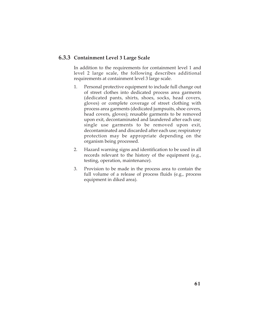## **6.3.3 Containment Level 3 Large Scale**

In addition to the requirements for containment level 1 and level 2 large scale, the following describes additional requirements at containment level 3 large scale.

- 1. Personal protective equipment to include full change out of street clothes into dedicated process area garments (dedicated pants, shirts, shoes, socks, head covers, gloves) or complete coverage of street clothing with process area garments (dedicated jumpsuits, shoe covers, head covers, gloves); reusable garments to be removed upon exit, decontaminated and laundered after each use; single use garments to be removed upon exit, decontaminated and discarded after each use; respiratory protection may be appropriate depending on the organism being processed.
- 2. Hazard warning signs and identification to be used in all records relevant to the history of the equipment (e.g., testing, operation, maintenance).
- 3. Provision to be made in the process area to contain the full volume of a release of process fluids (e.g., process equipment in diked area).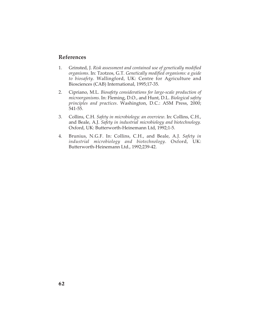## **References**

- 1. Grinsted, J. *Risk assessment and contained use of genetically modified organisms*. In: Tzotzos, G.T. *Genetically modified organisms: a guide to biosafety*. Wallingford, UK: Centre for Agriculture and Biosciences (CAB) International, 1995;17-35.
- 2. Cipriano, M.L. *Biosafety considerations for large-scale production of microorganisms*. In: Fleming, D.O., and Hunt, D.L. *Biological safety principles and practices*. Washington, D.C.: ASM Press, 2000; 541-55.
- 3. Collins, C.H. *Safety in microbiology: an overview*. In: Collins, C.H., and Beale, A.J. *Safety in industrial microbiology and biotechnology.* Oxford, UK: Butterworth-Heinemann Ltd, 1992;1-5.
- 4. Brunius, N.G.F. In: Collins, C.H., and Beale, A.J. *Safety in industrial microbiology and biotechnology*. Oxford, UK: Butterworth-Heinemann Ltd., 1992;239-42.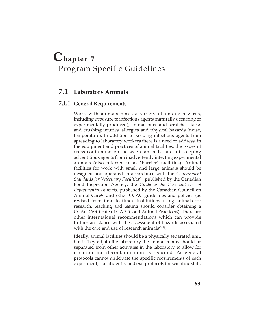# **Chapter 7** Program Specific Guidelines

## **7.1 Laboratory Animals**

## **7.1.1 General Requirements**

Work with animals poses a variety of unique hazards, including exposure to infectious agents (naturally occurring or experimentally produced), animal bites and scratches, kicks and crushing injuries, allergies and physical hazards (noise, temperature). In addition to keeping infectious agents from spreading to laboratory workers there is a need to address, in the equipment and practices of animal facilities, the issues of cross-contamination between animals and of keeping adventitious agents from inadvertently infecting experimental animals (also referred to as "barrier" facilities). Animal facilities for work with small and large animals should be designed and operated in accordance with the *Containment Standards for Veterinary Facilities*(1), published by the Canadian Food Inspection Agency, the *Guide to the Care and Use of Experimental Animals*, published by the Canadian Council on Animal Care<sup>(2)</sup> and other CCAC guidelines and policies (as revised from time to time). Institutions using animals for research, teaching and testing should consider obtaining a CCAC Certificate of GAP (Good Animal Practice®). There are other international recommendations which can provide further assistance with the assessment of hazards associated with the care and use of research animals $(3-5)$ .

Ideally, animal facilities should be a physically separated unit, but if they adjoin the laboratory the animal rooms should be separated from other activities in the laboratory to allow for isolation and decontamination as required. As general protocols cannot anticipate the specific requirements of each experiment, specific entry and exit protocols for scientific staff,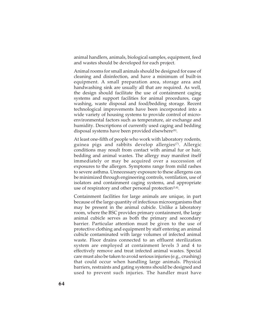animal handlers, animals, biological samples, equipment, feed and wastes should be developed for each project.

Animal rooms for small animals should be designed for ease of cleaning and disinfection, and have a minimum of built-in equipment. A small preparation area, storage area and handwashing sink are usually all that are required. As well, the design should facilitate the use of containment caging systems and support facilities for animal procedures, cage washing, waste disposal and food/bedding storage. Recent technological improvements have been incorporated into a wide variety of housing systems to provide control of microenvironmental factors such as temperature, air exchange and humidity. Descriptions of currently used caging and bedding disposal systems have been provided elsewhere<sup>(6)</sup>.

At least one-fifth of people who work with laboratory rodents, guinea pigs and rabbits develop allergies<sup>(7)</sup>. Allergic conditions may result from contact with animal fur or hair, bedding and animal wastes. The allergy may manifest itself immediately or may be acquired over a succession of exposures to the allergen. Symptoms range from mild rashes to severe asthma. Unnecessary exposure to these allergens can be minimized through engineering controls, ventilation, use of isolators and containment caging systems, and appropriate use of respiratory and other personal protection<sup> $(3,4)$ </sup>.

Containment facilities for large animals are unique, in part because of the large quantity of infectious microorganisms that may be present in the animal cubicle. Unlike a laboratory room, where the BSC provides primary containment, the large animal cubicle serves as both the primary and secondary barrier. Particular attention must be given to the use of protective clothing and equipment by staff entering an animal cubicle contaminated with large volumes of infected animal waste. Floor drains connected to an effluent sterilization system are employed at containment levels 3 and 4 to effectively remove and treat infected animal wastes. Special care must also be taken to avoid serious injuries (e.g., crushing) that could occur when handling large animals. Physical barriers, restraints and gating systems should be designed and used to prevent such injuries. The handler must have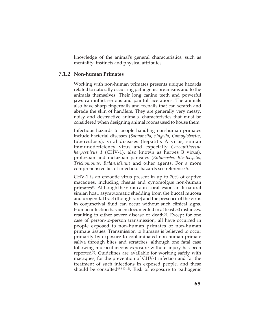knowledge of the animal's general characteristics, such as mentality, instincts and physical attributes.

## **7.1.2 Non-human Primates**

Working with non-human primates presents unique hazards related to naturally occurring pathogenic organisms and to the animals themselves. Their long canine teeth and powerful jaws can inflict serious and painful lacerations. The animals also have sharp fingernails and toenails that can scratch and abrade the skin of handlers. They are generally very messy, noisy and destructive animals, characteristics that must be considered when designing animal rooms used to house them.

Infectious hazards to people handling non-human primates include bacterial diseases (*Salmonella*, *Shigella*, *Campylobacter,* tuberculosis), viral diseases (hepatitis A virus, simian immunodeficiency virus and especially *Cercopithecine herpesvirus 1* (CHV-1), also known as herpes B virus), protozoan and metazoan parasites (*Entamoeba*, *Blastocystis*, *Trichomonas*, *Balantidium*) and other agents. For a more comprehensive list of infectious hazards see reference 5.

CHV-1 is an enzootic virus present in up to 70% of captive macaques, including rhesus and cynomolgus non-human primates(8). Although the virus causes oral lesions in its natural simian host, asymptomatic shedding from the buccal mucosa and urogenital tract (though rare) and the presence of the virus in conjunctival fluid can occur without such clinical signs. Human infection has been documented in at least 50 instances, resulting in either severe disease or death<sup>(9)</sup>. Except for one case of person-to-person transmission, all have occurred in people exposed to non-human primates or non-human primate tissues. Transmission to humans is believed to occur primarily by exposure to contaminated non-human primate saliva through bites and scratches, although one fatal case following mucocutaneous exposure without injury has been reported $(8)$ . Guidelines are available for working safely with macaques, for the prevention of CHV-1 infection and for the treatment of such infections in exposed people, and these should be consulted<sup> $(5,8,10-12)$ </sup>. Risk of exposure to pathogenic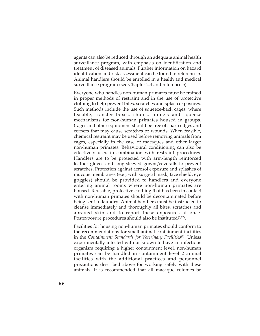agents can also be reduced through an adequate animal health surveillance program, with emphasis on identification and treatment of diseased animals. Further information on hazard identification and risk assessment can be found in reference 5. Animal handlers should be enrolled in a health and medical surveillance program (see Chapter 2.4 and reference 5).

Everyone who handles non-human primates must be trained in proper methods of restraint and in the use of protective clothing to help prevent bites, scratches and splash exposures. Such methods include the use of squeeze-back cages, where feasible, transfer boxes, chutes, tunnels and squeeze mechanisms for non-human primates housed in groups. Cages and other equipment should be free of sharp edges and corners that may cause scratches or wounds. When feasible, chemical restraint may be used before removing animals from cages, especially in the case of macaques and other larger non-human primates. Behavioural conditioning can also be effectively used in combination with restraint procedures. Handlers are to be protected with arm-length reinforced leather gloves and long-sleeved gowns/coveralls to prevent scratches. Protection against aerosol exposure and splashes of mucous membranes (e.g., with surgical mask, face shield, eye goggles) should be provided to handlers and everyone entering animal rooms where non-human primates are housed. Reusable, protective clothing that has been in contact with non-human primates should be decontaminated before being sent to laundry. Animal handlers must be instructed to cleanse immediately and thoroughly all bites, scratches and abraded skin and to report these exposures at once. Postexposure procedures should also be instituted $(5,12)$ .

Facilities for housing non-human primates should conform to the recommendations for small animal containment facilities in the *Containment Standards for Veterinary Facilities*(1). Unless experimentally infected with or known to have an infectious organism requiring a higher containment level, non-human primates can be handled in containment level 2 animal facilities with the additional practices and personnel precautions described above for working safely with these animals. It is recommended that all macaque colonies be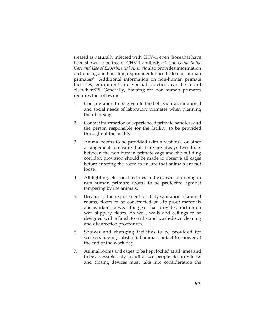treated as naturally infected with CHV-1, even those that have been shown to be free of CHV-1 antibody(5,9). The *Guide to the Care and Use of Experimental Animals* also provides information on housing and handling requirements specific to non-human primates<sup>(2)</sup>. Additional information on non-human primate facilities, equipment and special practices can be found elsewhere<sup>(13)</sup>. Generally, housing for non-human primates requires the following:

- 1. Consideration to be given to the behavioural, emotional and social needs of laboratory primates when planning their housing.
- 2. Contact information of experienced primate handlers and the person responsible for the facility, to be provided throughout the facility.
- 3. Animal rooms to be provided with a vestibule or other arrangement to ensure that there are always two doors between the non-human primate cage and the building corridor; provision should be made to observe all cages before entering the room to ensure that animals are not loose.
- 4. All lighting, electrical fixtures and exposed plumbing in non-human primate rooms to be protected against tampering by the animals.
- 5. Because of the requirement for daily sanitation of animal rooms, floors to be constructed of slip-proof materials and workers to wear footgear that provides traction on wet, slippery floors. As well, walls and ceilings to be designed with a finish to withstand wash-down cleaning and disinfection procedures.
- 6. Shower and changing facilities to be provided for workers having substantial animal contact to shower at the end of the work day.
- 7. Animal rooms and cages to be kept locked at all times and to be accessible only to authorized people. Security locks and closing devices must take into consideration the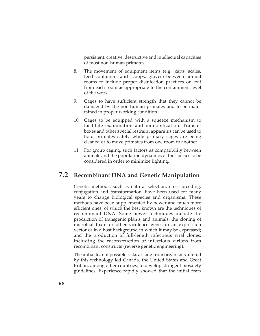persistent, creative, destructive and intellectual capacities of most non-human primates.

- 8. The movement of equipment items (e.g., carts, scales, feed containers and scoops, gloves) between animal rooms to include proper disinfection practices on exit from each room as appropriate to the containment level of the work.
- 9. Cages to have sufficient strength that they cannot be damaged by the non-human primates and to be maintained in proper working condition.
- 10. Cages to be equipped with a squeeze mechanism to facilitate examination and immobilization. Transfer boxes and other special restraint apparatus can be used to hold primates safely while primary cages are being cleaned or to move primates from one room to another.
- 11. For group caging, such factors as compatibility between animals and the population dynamics of the species to be considered in order to minimize fighting.

# **7.2 Recombinant DNA and Genetic Manipulation**

Genetic methods, such as natural selection, cross breeding, conjugation and transformation, have been used for many years to change biological species and organisms. These methods have been supplemented by newer and much more efficient ones, of which the best known are the techniques of recombinant DNA. Some newer techniques include the production of transgenic plants and animals; the cloning of microbial toxin or other virulence genes in an expression vector or in a host background in which it may be expressed; and the production of full-length infectious viral clones, including the reconstruction of infectious virions from recombinant constructs (reverse genetic engineering).

The initial fear of possible risks arising from organisms altered by this technology led Canada, the United States and Great Britain, among other countries, to develop stringent biosafety guidelines. Experience rapidly showed that the initial fears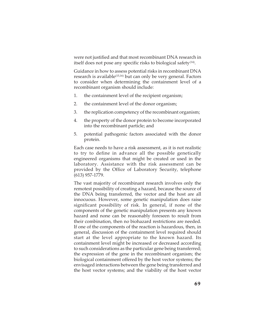were not justified and that most recombinant DNA research in itself does not pose any specific risks to biological safety<sup>(14)</sup>.

Guidance in how to assess potential risks in recombinant DNA research is available<sup>(15,16)</sup> but can only be very general. Factors to consider when determining the containment level of a recombinant organism should include:

- 1. the containment level of the recipient organism;
- 2. the containment level of the donor organism;
- 3. the replication competency of the recombinant organism;
- 4. the property of the donor protein to become incorporated into the recombinant particle; and
- 5. potential pathogenic factors associated with the donor protein.

Each case needs to have a risk assessment, as it is not realistic to try to define in advance all the possible genetically engineered organisms that might be created or used in the laboratory. Assistance with the risk assessment can be provided by the Office of Laboratory Security, telephone (613) 957-1779.

The vast majority of recombinant research involves only the remotest possibility of creating a hazard, because the source of the DNA being transferred, the vector and the host are all innocuous. However, some genetic manipulation does raise significant possibility of risk. In general, if none of the components of the genetic manipulation presents any known hazard and none can be reasonably foreseen to result from their combination, then no biohazard restrictions are needed. If one of the components of the reaction is hazardous, then, in general, discussion of the containment level required should start at the level appropriate to the known hazard. Its containment level might be increased or decreased according to such considerations as the particular gene being transferred; the expression of the gene in the recombinant organism; the biological containment offered by the host vector systems; the envisaged interactions between the gene being transferred and the host vector systems; and the viability of the host vector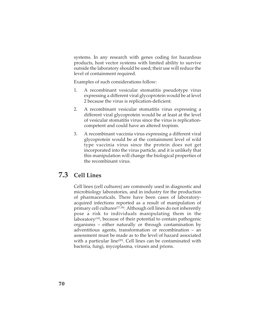systems. In any research with genes coding for hazardous products, host vector systems with limited ability to survive outside the laboratory should be used; their use will reduce the level of containment required.

Examples of such considerations follow:

- 1. A recombinant vesicular stomatitis pseudotype virus expressing a different viral glycoprotein would be at level 2 because the virus is replication-deficient.
- 2. A recombinant vesicular stomatitis virus expressing a different viral glycoprotein would be at least at the level of vesicular stomatitis virus since the virus is replicationcompetent and could have an altered tropism.
- 3. A recombinant vaccinia virus expressing a different viral glycoprotein would be at the containment level of wild type vaccinia virus since the protein does not get incorporated into the virus particle, and it is unlikely that this manipulation will change the biological properties of the recombinant virus.

# **7.3 Cell Lines**

Cell lines (cell cultures) are commonly used in diagnostic and microbiology laboratories, and in industry for the production of pharmaceuticals. There have been cases of laboratoryacquired infections reported as a result of manipulation of primary cell cultures(17,18). Although cell lines do not inherently pose a risk to individuals manipulating them in the laboratory<sup>(19)</sup>, because of their potential to contain pathogenic organisms – either naturally or through contamination by adventitious agents, transformation or recombination – an assessment must be made as to the level of hazard associated with a particular line<sup>(20)</sup>. Cell lines can be contaminated with bacteria, fungi, mycoplasma, viruses and prions.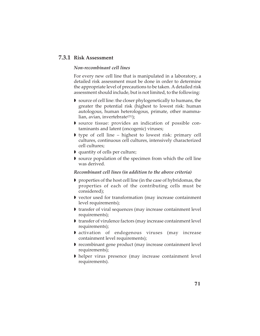## **7.3.1 Risk Assessment**

## *Non-recombinant cell lines*

For every new cell line that is manipulated in a laboratory, a detailed risk assessment must be done in order to determine the appropriate level of precautions to be taken. A detailed risk assessment should include, but is not limited, to the following:

- source of cell line: the closer phylogenetically to humans, the greater the potential risk (highest to lowest risk: human autologous, human heterologous, primate, other mammalian, avian, invertebrate<sup>(21)</sup>);
- source tissue: provides an indication of possible contaminants and latent (oncogenic) viruses;
- type of cell line highest to lowest risk: primary cell cultures, continuous cell cultures, intensively characterized cell cultures;
- quantity of cells per culture;
- source population of the specimen from which the cell line was derived.

## *Recombinant cell lines (in addition to the above criteria)*

- properties of the host cell line (in the case of hybridomas, the properties of each of the contributing cells must be considered);
- vector used for transformation (may increase containment level requirements);
- If transfer of viral sequences (may increase containment level requirements);
- transfer of virulence factors (may increase containment level requirements);
- activation of endogenous viruses (may increase containment level requirements);
- recombinant gene product (may increase containment level requirements);
- helper virus presence (may increase containment level requirements).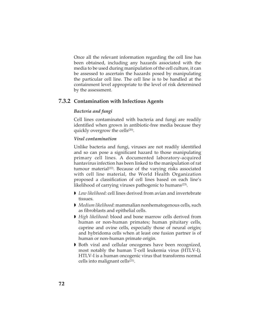Once all the relevant information regarding the cell line has been obtained, including any hazards associated with the media to be used during manipulation of the cell culture, it can be assessed to ascertain the hazards posed by manipulating the particular cell line. The cell line is to be handled at the containment level appropriate to the level of risk determined by the assessment.

## **7.3.2 Contamination with Infectious Agents**

## *Bacteria and fungi*

Cell lines contaminated with bacteria and fungi are readily identified when grown in antibiotic-free media because they quickly overgrow the cells<sup>(20)</sup>.

#### *Viral contamination*

Unlike bacteria and fungi, viruses are not readily identified and so can pose a significant hazard to those manipulating primary cell lines. A documented laboratory-acquired hantavirus infection has been linked to the manipulation of rat tumour material<sup>(22)</sup>. Because of the varying risks associated with cell line material, the World Health Organization proposed a classification of cell lines based on each line's likelihood of carrying viruses pathogenic to humans<sup>(23)</sup>.

- *Low likelihood*: cell lines derived from avian and invertebrate tissues.
- *Medium likelihood*: mammalian nonhematogenous cells, such as fibroblasts and epithelial cells.
- *High likelihood*: blood and bone marrow cells derived from human or non-human primates; human pituitary cells, caprine and ovine cells, especially those of neural origin; and hybridoma cells when at least one fusion partner is of human or non-human primate origin.
- Both viral and cellular oncogenes have been recognized, most notably the human T-cell leukemia virus (HTLV-I). HTLV-I is a human oncogenic virus that transforms normal cells into malignant cells<sup>(21)</sup>.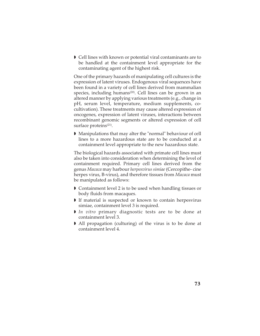Cell lines with known or potential viral contaminants are to be handled at the containment level appropriate for the contaminating agent of the highest risk.

One of the primary hazards of manipulating cell cultures is the expression of latent viruses. Endogenous viral sequences have been found in a variety of cell lines derived from mammalian species, including humans<sup>(20)</sup>. Cell lines can be grown in an altered manner by applying various treatments (e.g., change in pH, serum level, temperature, medium supplements, cocultivation). These treatments may cause altered expression of oncogenes, expression of latent viruses, interactions between recombinant genomic segments or altered expression of cell surface proteins<sup>(21)</sup>.

 Manipulations that may alter the "normal" behaviour of cell lines to a more hazardous state are to be conducted at a containment level appropriate to the new hazardous state.

The biological hazards associated with primate cell lines must also be taken into consideration when determining the level of containment required. Primary cell lines derived from the genus *Macaca* may harbour *herpesvirus simiae* (Cercopithe- cine herpes virus, B-virus), and therefore tissues from *Macaca* must be manipulated as follows:

- Containment level 2 is to be used when handling tissues or body fluids from macaques.
- If material is suspected or known to contain herpesvirus simiae, containment level 3 is required.
- *In vitro* primary diagnostic tests are to be done at containment level 3.
- All propagation (culturing) of the virus is to be done at containment level 4.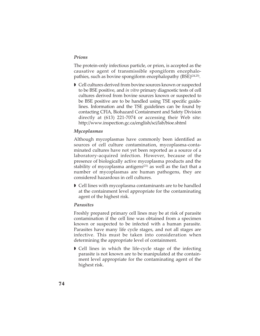#### *Prions*

The protein-only infectious particle, or prion, is accepted as the causative agent of transmissible spongiform encephalopathies, such as bovine spongiform encephalopathy (BSE)<sup>(24,25)</sup>.

 Cell cultures derived from bovine sources known or suspected to be BSE positive, and *in vitro* primary diagnostic tests of cell cultures derived from bovine sources known or suspected to be BSE positive are to be handled using TSE specific guidelines. Information and the TSE guidelines can be found by contacting CFIA, Biohazard Containment and Safety Division directly at (613) 221-7074 or accessing their Web site: http://www.inspection.gc.ca/english/sci/lab/bioe.shtml

### *Mycoplasmas*

Although mycoplasmas have commonly been identified as sources of cell culture contamination, mycoplasma-contaminated cultures have not yet been reported as a source of a laboratory-acquired infection. However, because of the presence of biologically active mycoplasma products and the stability of mycoplasma antigens<sup>(21)</sup> as well as the fact that a number of mycoplasmas are human pathogens, they are considered hazardous in cell cultures.

 Cell lines with mycoplasma contaminants are to be handled at the containment level appropriate for the contaminating agent of the highest risk.

### *Parasites*

Freshly prepared primary cell lines may be at risk of parasite contamination if the cell line was obtained from a specimen known or suspected to be infected with a human parasite. Parasites have many life cycle stages, and not all stages are infective. This must be taken into consideration when determining the appropriate level of containment.

 Cell lines in which the life-cycle stage of the infecting parasite is not known are to be manipulated at the containment level appropriate for the contaminating agent of the highest risk.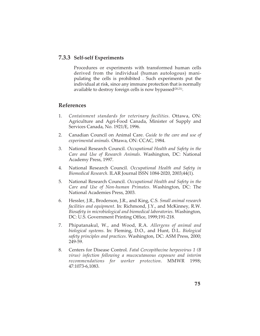## **7.3.3 Self-self Experiments**

Procedures or experiments with transformed human cells derived from the individual (human autologous) manipulating the cells is prohibited . Such experiments put the individual at risk, since any immune protection that is normally available to destroy foreign cells is now bypassed<sup>(20,21)</sup>.

## **References**

- 1. *Containment standards for veterinary facilities*. Ottawa, ON: Agriculture and Agri-Food Canada, Minister of Supply and Services Canada, No. 1921/E, 1996.
- 2. Canadian Council on Animal Care. *Guide to the care and use of experimental animals.* Ottawa, ON: CCAC, 1984.
- 3. National Research Council. *Occupational Health and Safety in the Care and Use of Research Animals*. Washington, DC: National Academy Press, 1997.
- 4. National Research Council. *Occupational Health and Safety in Biomedical Research*. ILAR Journal ISSN 1084-2020, 2003;44(1).
- 5. National Research Council. *Occupational Health and Safety in the Care and Use of Non-human Primates*. Washington, DC: The National Academies Press, 2003.
- 6. Hessler, J.R., Broderson, J.R., and King, C.S. *Small animal research facilities and equipment*. In: Richmond, J.Y., and McKinney, R.W. *Biosafety in microbiological and biomedical laboratories.* Washington, DC: U.S. Government Printing Office, 1999;191-218.
- 7. Phipatanakul, W., and Wood, R.A. *Allergens of animal and biological systems*. In: Fleming, D.O., and Hunt, D.L. *Biological safety principles and practices*. Washington, DC: ASM Press, 2000; 249-59.
- 8. Centers for Disease Control. *Fatal Cercopithecine herpesvirus 1 (B virus) infection following a mucocutaneous exposure and interim recommendations for worker protection*. MMWR 1998; 47:1073-6,1083.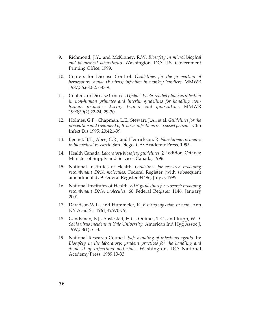- 9. Richmond, J.Y., and McKinney, R.W. *Biosafety in microbiological and biomedical laboratories*. Washington, DC: U.S. Government Printing Office, 1999.
- 10. Centers for Disease Control. *Guidelines for the prevention of herpesviurs simiae (B virus) infection in monkey handlers*. MMWR 1987;36:680-2, 687-9.
- 11. Centers for Disease Control. *Update: Ebola-related filovirus infection in non-human primates and interim guidelines for handling nonhuman primates during transit and quarantine*. MMWR 1990;39(2):22-24, 29-30.
- 12. Holmes, G.P., Chapman, L.E., Stewart, J.A., et al. *Guidelines for the prevention and treatment of B-virus infections in exposed persons.* Clin Infect Dis 1995; 20:421-39.
- 13. Bennet, B.T., Abee, C.R., and Henrickson, R. *Non-human primates in biomedical research*. San Diego, CA: Academic Press, 1995.
- 14. Health Canada. *Laboratory biosafety guidelines*, 2nd edition. Ottawa: Minister of Supply and Services Canada, 1996.
- 15. National Institutes of Health. *Guidelines for research involving recombinant DNA molecules.* Federal Register (with subsequent amendments) 59 Federal Register 34496, July 5, 1995.
- 16. National Institutes of Health. *NIH guidelines for research involving recombinant DNA molecules.* 66 Federal Register 1146, January 2001.
- 17. Davidson,W.L., and Hummeler, K. *B virus infection in man.* Ann NY Acad Sci 1961;85:970-79.
- 18. Gandsman, E.J., Aaslestad, H.G., Ouimet, T.C., and Rupp, W.D. *Sabia virus incident at Yale University*, American Ind Hyg Assoc J, 1997;58(1):51-3.
- 19. National Research Council. *Safe handling of infectious agents*. In: *Biosafety in the laboratory: prudent practices for the handling and disposal of infectious materials.* Washington, DC: National Academy Press, 1989;13-33.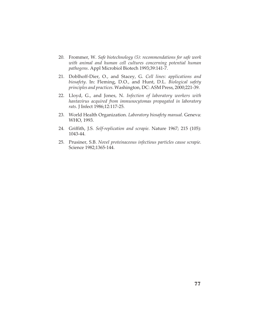- 20. Frommer, W. *Safe biotechnology (5): recommendations for safe work with animal and human cell cultures concerning potential human pathogens*. Appl Microbiol Biotech 1993;39:141-7.
- 21. Doblhoff-Dier, O., and Stacey, G. *Cell lines: applications and biosafety*. In: Fleming, D.O., and Hunt, D.L. *Biological safety principles and practices*. Washington, DC: ASM Press, 2000;221-39.
- 22. Lloyd, G., and Jones, N. *Infection of laboratory workers with hantavirus acquired from immunocytomas propagated in laboratory rats*. J Infect 1986;12:117-25.
- 23. World Health Organization. *Laboratory biosafety manual*. Geneva: WHO, 1993.
- 24. Griffith, J.S. *Self-replication and scrapie*. Nature 1967; 215 (105): 1043-44.
- 25. Prusiner, S.B. *Novel proteinaceous infectious particles cause scrapie*. Science 1982;1365-144.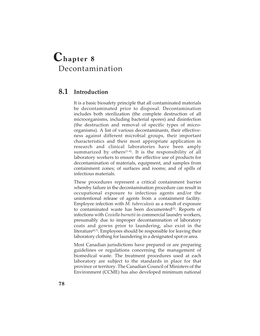# **Chapter 8** Decontamination

# **8.1 Introduction**

It is a basic biosafety principle that all contaminated materials be decontaminated prior to disposal. Decontamination includes both sterilization (the complete destruction of all microorganisms, including bacterial spores) and disinfection (the destruction and removal of specific types of microorganisms). A list of various decontaminants, their effectiveness against different microbial groups, their important characteristics and their most appropriate application in research and clinical laboratories have been amply summarized by others $(1-4)$ . It is the responsibility of all laboratory workers to ensure the effective use of products for decontamination of materials, equipment, and samples from containment zones; of surfaces and rooms; and of spills of infectious materials.

These procedures represent a critical containment barrier whereby failure in the decontamination procedure can result in occupational exposure to infectious agents and/or the unintentional release of agents from a containment facility. Employee infection with *M. tuberculosis* as a result of exposure to contaminated waste has been documented<sup>(5)</sup>. Reports of infections with *Coxiella burnetii* in commercial laundry workers, presumably due to improper decontamination of laboratory coats and gowns prior to laundering, also exist in the literature<sup> $(6,7)$ </sup>. Employees should be responsible for leaving their laboratory clothing for laundering in a designated spot or area.

Most Canadian jurisdictions have prepared or are preparing guidelines or regulations concerning the management of biomedical waste. The treatment procedures used at each laboratory are subject to the standards in place for that province or territory. The Canadian Council of Ministers of the Environment (CCME) has also developed minimum national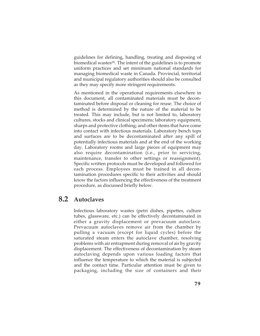guidelines for defining, handling, treating and disposing of biomedical wastes<sup>(8)</sup>. The intent of the guidelines is to promote uniform practices and set minimum national standards for managing biomedical waste in Canada. Provincial, territorial and municipal regulatory authorities should also be consulted as they may specify more stringent requirements.

As mentioned in the operational requirements elsewhere in this document, all contaminated materials must be decontaminated before disposal or cleaning for reuse. The choice of method is determined by the nature of the material to be treated. This may include, but is not limited to, laboratory cultures, stocks and clinical specimens; laboratory equipment, sharps and protective clothing; and other items that have come into contact with infectious materials. Laboratory bench tops and surfaces are to be decontaminated after any spill of potentially infectious materials and at the end of the working day. Laboratory rooms and large pieces of equipment may also require decontamination (i.e., prior to servicing, maintenance, transfer to other settings or reassignment). Specific written protocols must be developed and followed for each process. Employees must be trained in all decontamination procedures specific to their activities and should know the factors influencing the effectiveness of the treatment procedure, as discussed briefly below.

# **8.2 Autoclaves**

Infectious laboratory wastes (petri dishes, pipettes, culture tubes, glassware, etc.) can be effectively decontaminated in either a gravity displacement or prevacuum autoclave. Prevacuum autoclaves remove air from the chamber by pulling a vacuum (except for liquid cycles) before the saturated steam enters the autoclave chamber, resolving problems with air entrapment during removal of air by gravity displacement. The effectiveness of decontamination by steam autoclaving depends upon various loading factors that influence the temperature to which the material is subjected and the contact time. Particular attention must be given to packaging, including the size of containers and their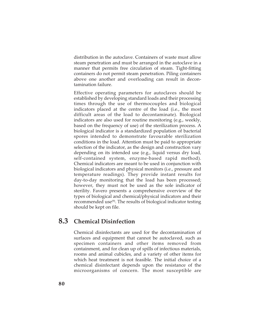distribution in the autoclave. Containers of waste must allow steam penetration and must be arranged in the autoclave in a manner that permits free circulation of steam. Tight-fitting containers do not permit steam penetration. Piling containers above one another and overloading can result in decontamination failure.

Effective operating parameters for autoclaves should be established by developing standard loads and their processing times through the use of thermocouples and biological indicators placed at the centre of the load (i.e., the most difficult areas of the load to decontaminate). Biological indicators are also used for routine monitoring (e.g., weekly, based on the frequency of use) of the sterilization process. A biological indicator is a standardized population of bacterial spores intended to demonstrate favourable sterilization conditions in the load. Attention must be paid to appropriate selection of the indicator, as the design and construction vary depending on its intended use (e.g., liquid versus dry load, self-contained system, enzyme-based rapid method). Chemical indicators are meant to be used in conjunction with biological indicators and physical monitors (i.e., pressure and temperature readings). They provide instant results for day-to-day monitoring that the load has been processed; however, they must not be used as the sole indicator of sterility. Favero presents a comprehensive overview of the types of biological and chemical/physical indicators and their recommended use<sup>(9)</sup>. The results of biological indicator testing should be kept on file.

# **8.3 Chemical Disinfection**

Chemical disinfectants are used for the decontamination of surfaces and equipment that cannot be autoclaved, such as specimen containers and other items removed from containment, and for clean up of spills of infectious materials, rooms and animal cubicles, and a variety of other items for which heat treatment is not feasible. The initial choice of a chemical disinfectant depends upon the resistance of the microorganisms of concern. The most susceptible are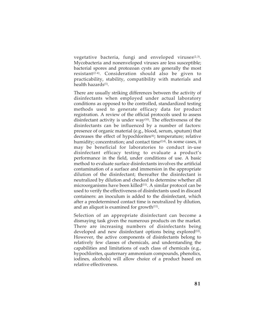vegetative bacteria, fungi and enveloped viruses $(2,3)$ . Mycobacteria and nonenveloped viruses are less susceptible; bacterial spores and protozoan cysts are generally the most resistant<sup>(2-4)</sup>. Consideration should also be given to practicability, stability, compatibility with materials and health hazards<sup>(1)</sup>.

There are usually striking differences between the activity of disinfectants when employed under actual laboratory conditions as opposed to the controlled, standardized testing methods used to generate efficacy data for product registration. A review of the official protocols used to assess disinfectant activity is under  $way<sup>(10)</sup>$ . The effectiveness of the disinfectants can be influenced by a number of factors: presence of organic material (e.g., blood, serum, sputum) that decreases the effect of hypochlorites<sup>(4)</sup>; temperature; relative humidity; concentration; and contact time $(2,4)$ . In some cases, it may be beneficial for laboratories to conduct in-use disinfectant efficacy testing to evaluate a product's performance in the field, under conditions of use. A basic method to evaluate surface disinfectants involves the artificial contamination of a surface and immersion in the appropriate dilution of the disinfectant; thereafter the disinfectant is neutralized by dilution and checked to determine whether all microorganisms have been killed<sup>(11)</sup>. A similar protocol can be used to verify the effectiveness of disinfectants used in discard containers: an inoculum is added to the disinfectant, which after a predetermined contact time is neutralized by dilution, and an aliquot is examined for growth $(11)$ .

Selection of an appropriate disinfectant can become a dismaying task given the numerous products on the market. There are increasing numbers of disinfectants being developed and new disinfectant options being explored<sup>(12)</sup>. However, the active components of disinfectants belong to relatively few classes of chemicals, and understanding the capabilities and limitations of each class of chemicals (e.g., hypochlorites, quaternary ammonium compounds, phenolics, iodines, alcohols) will allow choice of a product based on relative effectiveness.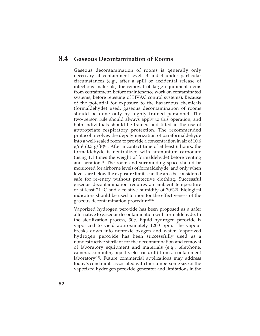## **8.4 Gaseous Decontamination of Rooms**

Gaseous decontamination of rooms is generally only necessary at containment levels 3 and 4 under particular circumstances (e.g., after a spill or accidental release of infectious materials, for removal of large equipment items from containment, before maintenance work on contaminated systems, before retesting of HVAC control systems). Because of the potential for exposure to the hazardous chemicals (formaldehyde) used, gaseous decontamination of rooms should be done only by highly trained personnel. The two-person rule should always apply to this operation, and both individuals should be trained and fitted in the use of appropriate respiratory protection. The recommended protocol involves the depolymerization of paraformaldehyde into a well-sealed room to provide a concentration in air of 10.6  $g/m^3$  (0.3  $g/ft^{3}$ )<sup>(1)</sup>. After a contact time of at least 6 hours, the formaldehyde is neutralized with ammonium carbonate (using 1.1 times the weight of formaldehyde) before venting and aeration $(1)$ . The room and surrounding space should be monitored for airborne levels of formaldehyde, and only when levels are below the exposure limits can the area be considered safe for re-entry without protective clothing. Successful gaseous decontamination requires an ambient temperature of at least  $21^{\circ}$  C and a relative humidity of  $70\%$ <sup>(1)</sup>. Biological indicators should be used to monitor the effectiveness of the gaseous decontamination procedure<sup>(13)</sup>.

Vaporized hydrogen peroxide has been proposed as a safer alternative to gaseous decontamination with formaldehyde. In the sterilization process, 30% liquid hydrogen peroxide is vaporized to yield approximately 1200 ppm. The vapour breaks down into nontoxic oxygen and water. Vaporized hydrogen peroxide has been successfully used as a nondestructive sterilant for the decontamination and removal of laboratory equipment and materials (e.g., telephone, camera, computer, pipette, electric drill) from a containment laboratory<sup> $(14)$ </sup>. Future commercial applications may address today's constraints associated with the cumbersome size of the vaporized hydrogen peroxide generator and limitations in the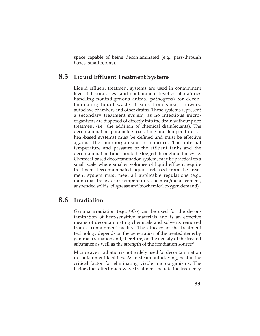space capable of being decontaminated (e.g., pass-through boxes, small rooms).

## **8.5 Liquid Effluent Treatment Systems**

Liquid effluent treatment systems are used in containment level 4 laboratories (and containment level 3 laboratories handling nonindigenous animal pathogens) for decontaminating liquid waste streams from sinks, showers, autoclave chambers and other drains. These systems represent a secondary treatment system, as no infectious microorganisms are disposed of directly into the drain without prior treatment (i.e., the addition of chemical disinfectants). The decontamination parameters (i.e., time and temperature for heat-based systems) must be defined and must be effective against the microorganisms of concern. The internal temperature and pressure of the effluent tanks and the decontamination time should be logged throughout the cycle. Chemical-based decontamination systems may be practical on a small scale where smaller volumes of liquid effluent require treatment. Decontaminated liquids released from the treatment system must meet all applicable regulations (e.g., municipal bylaws for temperature, chemical/metal content, suspended solids, oil/grease and biochemical oxygen demand).

## **8.6 Irradiation**

Gamma irradiation (e.g.,  $^{60}Co$ ) can be used for the decontamination of heat-sensitive materials and is an effective means of decontaminating chemicals and solvents removed from a containment facility. The efficacy of the treatment technology depends on the penetration of the treated items by gamma irradiation and, therefore, on the density of the treated substance as well as the strength of the irradiation source<sup>(2)</sup>.

Microwave irradiation is not widely used for decontamination in containment facilities. As in steam autoclaving, heat is the critical factor for eliminating viable microorganisms. The factors that affect microwave treatment include the frequency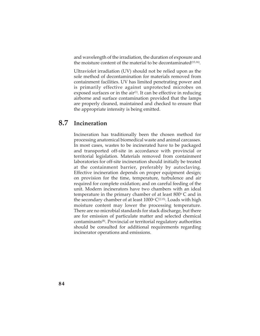and wavelength of the irradiation, the duration of exposure and the moisture content of the material to be decontaminated<sup>(15,16)</sup>.

Ultraviolet irradiation (UV) should not be relied upon as the sole method of decontamination for materials removed from containment facilities. UV has limited penetrating power and is primarily effective against unprotected microbes on exposed surfaces or in the air<sup> $(1)$ </sup>. It can be effective in reducing airborne and surface contamination provided that the lamps are properly cleaned, maintained and checked to ensure that the appropriate intensity is being emitted.

# **8.7 Incineration**

Incineration has traditionally been the chosen method for processing anatomical biomedical waste and animal carcasses. In most cases, wastes to be incinerated have to be packaged and transported off-site in accordance with provincial or territorial legislation. Materials removed from containment laboratories for off-site incineration should initially be treated at the containment barrier, preferably by autoclaving. Effective incineration depends on proper equipment design; on provision for the time, temperature, turbulence and air required for complete oxidation; and on careful feeding of the unit. Modern incinerators have two chambers with an ideal temperature in the primary chamber of at least  $800^{\circ}$  C and in the secondary chamber of at least  $1000\degree C^{(2,15)}$ . Loads with high moisture content may lower the processing temperature. There are no microbial standards for stack discharge, but there are for emission of particulate matter and selected chemical contaminants(8). Provincial or territorial regulatory authorities should be consulted for additional requirements regarding incinerator operations and emissions.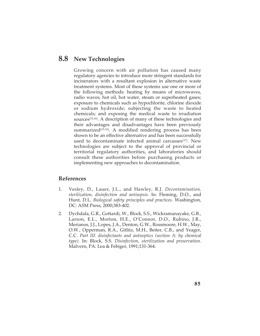# **8.8 New Technologies**

Growing concern with air pollution has caused many regulatory agencies to introduce more stringent standards for incinerators with a resultant explosion in alternative waste treatment systems. Most of these systems use one or more of the following methods: heating by means of microwaves, radio waves, hot oil, hot water, steam or superheated gases; exposure to chemicals such as hypochlorite, chlorine dioxide or sodium hydroxide; subjecting the waste to heated chemicals; and exposing the medical waste to irradiation sources<sup>(15,16)</sup>. A description of many of these technologies and their advantages and disadvantages have been previously summarized<sup>(15,16)</sup>. A modified rendering process has been shown to be an effective alternative and has been successfully used to decontaminate infected animal carcasses<sup>(17)</sup>. New technologies are subject to the approval of provincial or territorial regulatory authorities, and laboratories should consult these authorities before purchasing products or implementing new approaches to decontamination.

## **References**

- 1. Vesley, D., Lauer, J.L., and Hawley, R.J. *Decontamination, sterilization, disinfection and antisepsis.* In: Fleming, D.O., and Hunt, D.L. *Biological safety principles and practices.* Washington, DC: ASM Press, 2000;383-402.
- 2. Dychdala, G.R., Gottardi, W., Block, S.S., Wickramanayake, G.B., Larson, E.L., Morton, H.E., O'Connor, D.O., Rubino, J.R., Merianos, J.J., Lopes, J.A., Denton, G.W., Rossmoore, H.W., May, O.W., Opperman, R.A., Gitlitz, M.H., Beiter, C.B., and Yeager, C.C. *Part III: disinfectants and antiseptics (section A: by chemical type)*. In: Block, S.S. *Disinfection, sterilization and preservation.* Malvern, PA: Lea & Febiger, 1991;131-364.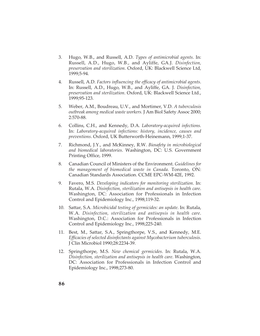- 3. Hugo, W.B., and Russell, A.D. *Types of antimicrobial agents*. In: Russell, A.D., Hugo, W.B., and Ayliffe, GA.J. *Disinfection, preservation and sterilization*. Oxford, UK: Blackwell Science Ltd, 1999;5-94.
- 4. Russell, A.D. *Factors influencing the efficacy of antimicrobial agents*. In: Russell, A.D., Hugo, W.B., and Ayliffe, GA. J. *Disinfection, preservation and sterilization*. Oxford, UK: Blackwell Science Ltd., 1999;95-123.
- 5. Weber, A.M., Boudreau, U.V., and Mortimer, V.D. *A tuberculosis outbreak among medical waste workers.* J Am Biol Safety Assoc 2000; 2:570-88.
- 6. Collins, C.H., and Kennedy, D.A. *Laboratory-acquired infections.* In: *Laboratory-acquired infections: history, incidence, causes and preventions*. Oxford, UK Butterworth-Heinemann, 1999;1-37.
- 7. Richmond, J.Y., and McKinney, R.W. *Biosafety in microbiological and biomedical laboratories*. Washington, DC: U.S. Government Printing Office, 1999.
- 8. Canadian Council of Ministers of the Environment. *Guidelines for the management of biomedical waste in Canada.* Toronto, ON: Canadian Standards Association. CCME EPC-WM-42E, 1992.
- 9. Favero, M.S. *Developing indicators for monitoring sterilization*. In: Rutala, W.A. *Disinfection, sterilization and antisepsis in health care*. Washington, DC: Association for Professionals in Infection Control and Epidemiology Inc., 1998;119-32.
- 10. Sattar, S.A. *Microbicidal testing of germicides: an update*. In: Rutala, W.A. *Disinfection, sterilization and antisepsis in health care*. Washington, D.C.: Association for Professionals in Infection Control and Epidemiology Inc., 1998;225-240.
- 11. Best, M., Sattar, S.A., Springthorpe, V.S., and Kennedy, M.E. *Efficacies of selected disinfectants against Mycobacterium tuberculosis*. J Clin Microbiol 1990;28:2234-39.
- 12. Springthorpe, M.S. *New chemical germicides*. In: Rutala, W.A. *Disinfection, sterilization and antisepsis in health care*. Washington, DC: Association for Professionals in Infection Control and Epidemiology Inc., 1998;273-80.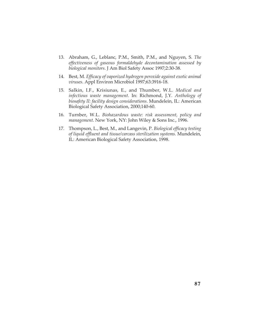- 13. Abraham, G., Leblanc, P.M., Smith, P.M., and Nguyen, S. *The effectiveness of gaseous formaldehyde decontamination assessed by biological monitors*. J Am Biol Safety Assoc 1997;2:30-38.
- 14. Best, M. *Efficacy of vaporized hydrogen peroxide against exotic animal viruses*. Appl Environ Microbiol 1997;63:3916-18.
- 15. Salkin, I.F., Krisiunas, E., and Thumber, W.L. *Medical and infectious waste management*. In: Richmond, J.Y. *Anthology of biosafety II: facility design considerations*. Mundelein, IL: American Biological Safety Association, 2000;140-60.
- 16. Turnber, W.L. *Biohazardous waste: risk assessment, policy and management*. New York, NY: John Wiley & Sons Inc., 1996.
- 17. Thompson, L., Best, M., and Langevin, P. *Biological efficacy testing of liquid effluent and tissue/carcass sterilization systems.* Mundelein, IL: American Biological Safety Association, 1998.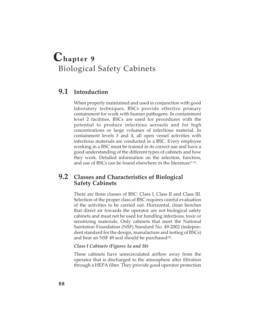# **Chapter 9** Biological Safety Cabinets

## **9.1 Introduction**

When properly maintained and used in conjunction with good laboratory techniques, BSCs provide effective primary containment for work with human pathogens. In containment level 2 facilities, BSCs are used for procedures with the potential to produce infectious aerosols and for high concentrations or large volumes of infectious material. In containment levels 3 and 4, all open vessel activities with infectious materials are conducted in a BSC. Every employee working in a BSC must be trained in its correct use and have a good understanding of the different types of cabinets and how they work. Detailed information on the selection, function, and use of BSCs can be found elsewhere in the literature(1-3).

## **9.2 Classes and Characteristics of Biological Safety Cabinets**

There are three classes of BSC: Class I, Class II and Class III. Selection of the proper class of BSC requires careful evaluation of the activities to be carried out. Horizontal, clean benches that direct air towards the operator are not biological safety cabinets and must not be used for handling infectious, toxic or sensitizing materials. Only cabinets that meet the National Sanitation Foundation (NSF) Standard No. 49-2002 (independent standard for the design, manufacture and testing of BSCs) and bear an NSF 49 seal should be purchased $(4)$ .

## *Class I Cabinets (Figures 1a and 1b)*

These cabinets have unrecirculated airflow away from the operator that is discharged to the atmosphere after filtration through a HEPA filter. They provide good operator protection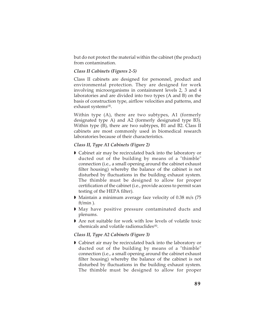but do not protect the material within the cabinet (the product) from contamination.

### *Class II Cabinets (Figures 2-5)*

Class II cabinets are designed for personnel, product and environmental protection. They are designed for work involving microorganisms in containment levels 2, 3 and 4 laboratories and are divided into two types (A and B) on the basis of construction type, airflow velocities and patterns, and exhaust systems<sup>(4)</sup>.

Within type (A), there are two subtypes, A1 (formerly designated type A) and A2 (formerly designated type B3). Within type (B), there are two subtypes, B1 and B2. Class II cabinets are most commonly used in biomedical research laboratories because of their characteristics.

### *Class II, Type A1 Cabinets (Figure 2)*

- Cabinet air may be recirculated back into the laboratory or ducted out of the building by means of a "thimble" connection (i.e., a small opening around the cabinet exhaust filter housing) whereby the balance of the cabinet is not disturbed by fluctuations in the building exhaust system. The thimble must be designed to allow for proper certification of the cabinet (i.e., provide access to permit scan testing of the HEPA filter).
- Maintain a minimum average face velocity of 0.38 m/s (75 ft/min ).
- May have positive pressure contaminated ducts and plenums.
- Are not suitable for work with low levels of volatile toxic chemicals and volatile radionuclides(4).

## *Class II, Type A2 Cabinets (Figure 3)*

 Cabinet air may be recirculated back into the laboratory or ducted out of the building by means of a "thimble" connection (i.e., a small opening around the cabinet exhaust filter housing) whereby the balance of the cabinet is not disturbed by fluctuations in the building exhaust system. The thimble must be designed to allow for proper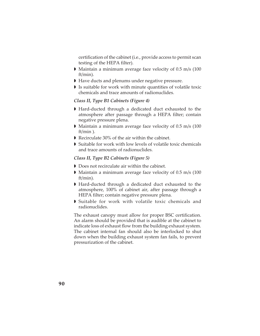certification of the cabinet (i.e., provide access to permit scan testing of the HEPA filter).

- Maintain a minimum average face velocity of 0.5 m/s (100 ft/min).
- Have ducts and plenums under negative pressure.
- Is suitable for work with minute quantities of volatile toxic chemicals and trace amounts of radionuclides.

#### *Class II, Type B1 Cabinets (Figure 4)*

- Hard-ducted through a dedicated duct exhausted to the atmosphere after passage through a HEPA filter; contain negative pressure plena.
- Maintain a minimum average face velocity of 0.5 m/s (100 ft/min ).
- Recirculate 30% of the air within the cabinet.
- Suitable for work with low levels of volatile toxic chemicals and trace amounts of radionuclides.

#### *Class II, Type B2 Cabinets (Figure 5)*

- Does not recirculate air within the cabinet.
- Maintain a minimum average face velocity of 0.5 m/s (100 ft/min).
- Hard-ducted through a dedicated duct exhausted to the atmosphere, 100% of cabinet air, after passage through a HEPA filter; contain negative pressure plena.
- Suitable for work with volatile toxic chemicals and radionuclides.

The exhaust canopy must allow for proper BSC certification. An alarm should be provided that is audible at the cabinet to indicate loss of exhaust flow from the building exhaust system. The cabinet internal fan should also be interlocked to shut down when the building exhaust system fan fails, to prevent pressurization of the cabinet.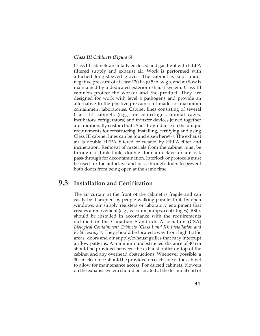#### *Class III Cabinets (Figure 6)*

Class III cabinets are totally enclosed and gas-tight with HEPA filtered supply and exhaust air. Work is performed with attached long-sleeved gloves. The cabinet is kept under negative pressure of at least 120 Pa (0.5 in. w.g.), and airflow is maintained by a dedicated exterior exhaust system. Class III cabinets protect the worker and the product. They are designed for work with level 4 pathogens and provide an alternative to the positive-pressure suit made for maximum containment laboratories. Cabinet lines consisting of several Class III cabinets (e.g., for centrifuges, animal cages, incubators, refrigerators) and transfer devices joined together are traditionally custom built. Specific guidance on the unique requirements for constructing, installing, certifying and using Class III cabinet lines can be found elsewhere(5-7). The exhaust air is double HEPA filtered or treated by HEPA filter and incineration. Removal of materials from the cabinet must be through a dunk tank, double door autoclave or air-lock pass-through for decontamination. Interlock or protocols must be used for the autoclave and pass-through doors to prevent both doors from being open at the same time.

# **9.3 Installation and Certification**

The air curtain at the front of the cabinet is fragile and can easily be disrupted by people walking parallel to it, by open windows, air supply registers or laboratory equipment that creates air movement (e.g., vacuum pumps, centrifuges). BSCs should be installed in accordance with the requirements outlined in the Canadian Standards Association (CSA) *Biological Containment Cabinets (Class I and II): Installation and Field Testing*<sup>(8)</sup>. They should be located away from high traffic areas, doors and air supply/exhaust grilles that may interrupt airflow patterns. A minimum unobstructed distance of 40 cm should be provided between the exhaust outlet on top of the cabinet and any overhead obstructions. Whenever possible, a 30 cm clearance should be provided on each side of the cabinet to allow for maintenance access. For ducted cabinets, blowers on the exhaust system should be located at the terminal end of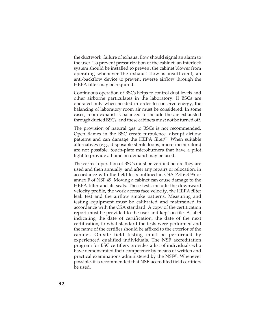the ductwork; failure of exhaust flow should signal an alarm to the user. To prevent pressurization of the cabinet, an interlock system should be installed to prevent the cabinet blower from operating whenever the exhaust flow is insufficient; an anti-backflow device to prevent reverse airflow through the HEPA filter may be required.

Continuous operation of BSCs helps to control dust levels and other airborne particulates in the laboratory. If BSCs are operated only when needed in order to conserve energy, the balancing of laboratory room air must be considered. In some cases, room exhaust is balanced to include the air exhausted through ducted BSCs, and these cabinets must not be turned off.

The provision of natural gas to BSCs is not recommended. Open flames in the BSC create turbulence, disrupt airflow patterns and can damage the HEPA filter<sup>(1)</sup>. When suitable alternatives (e.g., disposable sterile loops, micro-incinerators) are not possible, touch-plate microburners that have a pilot light to provide a flame on demand may be used.

The correct operation of BSCs must be verified before they are used and then annually, and after any repairs or relocation, in accordance with the field tests outlined in CSA Z316.3-95 or annex F of NSF 49. Moving a cabinet can cause damage to the HEPA filter and its seals. These tests include the downward velocity profile, the work access face velocity, the HEPA filter leak test and the airflow smoke patterns. Measuring and testing equipment must be calibrated and maintained in accordance with the CSA standard. A copy of the certification report must be provided to the user and kept on file. A label indicating the date of certification, the date of the next certification, to what standard the tests were performed and the name of the certifier should be affixed to the exterior of the cabinet. On-site field testing must be performed by experienced qualified individuals. The NSF accreditation program for BSC certifiers provides a list of individuals who have demonstrated their competence by means of written and practical examinations administered by the NSF<sup>(9)</sup>. Whenever possible, it is recommended that NSF-accredited field certifiers be used.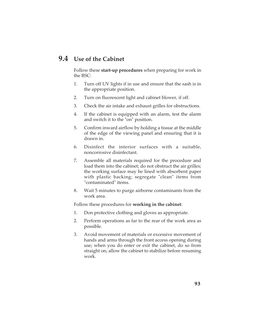# **9.4 Use of the Cabinet**

Follow these **start-up procedures** when preparing for work in the BSC:

- 1. Turn off UV lights if in use and ensure that the sash is in the appropriate position.
- 2. Turn on fluorescent light and cabinet blower, if off.
- 3. Check the air intake and exhaust grilles for obstructions.
- 4. If the cabinet is equipped with an alarm, test the alarm and switch it to the "on" position.
- 5. Confirm inward airflow by holding a tissue at the middle of the edge of the viewing panel and ensuring that it is drawn in.
- 6. Disinfect the interior surfaces with a suitable, noncorrosive disinfectant.
- 7. Assemble all materials required for the procedure and load them into the cabinet; do not obstruct the air grilles; the working surface may be lined with absorbent paper with plastic backing; segregate "clean" items from "contaminated" items.
- 8. Wait 5 minutes to purge airborne contaminants from the work area.

Follow these procedures for **working in the cabinet**:

- 1. Don protective clothing and gloves as appropriate.
- 2. Perform operations as far to the rear of the work area as possible.
- 3. Avoid movement of materials or excessive movement of hands and arms through the front access opening during use; when you do enter or exit the cabinet, do so from straight on; allow the cabinet to stabilize before resuming work.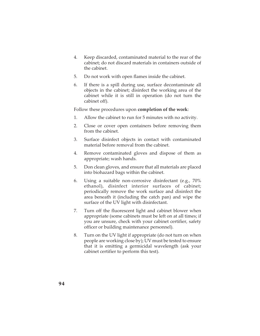- 4. Keep discarded, contaminated material to the rear of the cabinet; do not discard materials in containers outside of the cabinet.
- 5. Do not work with open flames inside the cabinet.
- 6. If there is a spill during use, surface decontaminate all objects in the cabinet; disinfect the working area of the cabinet while it is still in operation (do not turn the cabinet off).

Follow these procedures upon **completion of the work**:

- 1. Allow the cabinet to run for 5 minutes with no activity.
- 2. Close or cover open containers before removing them from the cabinet.
- 3. Surface disinfect objects in contact with contaminated material before removal from the cabinet.
- 4. Remove contaminated gloves and dispose of them as appropriate; wash hands.
- 5. Don clean gloves, and ensure that all materials are placed into biohazard bags within the cabinet.
- 6. Using a suitable non-corrosive disinfectant (e.g., 70% ethanol), disinfect interior surfaces of cabinet; periodically remove the work surface and disinfect the area beneath it (including the catch pan) and wipe the surface of the UV light with disinfectant.
- 7. Turn off the fluorescent light and cabinet blower when appropriate (some cabinets must be left on at all times; if you are unsure, check with your cabinet certifier, safety officer or building maintenance personnel).
- 8. Turn on the UV light if appropriate (do not turn on when people are working close by); UV must be tested to ensure that it is emitting a germicidal wavelength (ask your cabinet certifier to perform this test).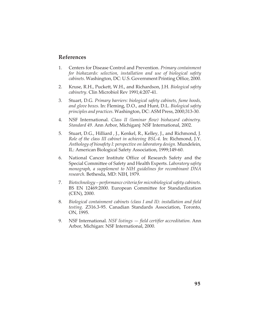## **References**

- 1. Centers for Disease Control and Prevention. *Primary containment for biohazards: selection, installation and use of biological safety cabinets*. Washington, DC: U.S. Government Printing Office, 2000.
- 2. Kruse, R.H., Puckett, W.H., and Richardson, J.H. *Biological safety cabinetry*. Clin Microbiol Rev 1991;4:207-41.
- 3. Stuart, D.G. *Primary barriers: biological safety cabinets, fume hoods, and glove boxes*. In: Fleming, D.O., and Hunt, D.L. *Biological safety principles and practices*. Washington, DC: ASM Press, 2000;313-30.
- 4. NSF International. *Class II (laminar flow) biohazard cabinetry. Standard 49*. Ann Arbor, Michiganj: NSF International, 2002.
- 5. Stuart, D.G., Hilliard , J., Kenkel, R., Kelley, J., and Richmond, J. *Role of the class III cabinet in achieving BSL-4.* In: Richmond, J.Y. *Anthology of biosafety I: perspective on laboratory design.* Mundelein, IL: American Biological Safety Association, 1999;149-60.
- 6. National Cancer Institute Office of Research Safety and the Special Committee of Safety and Health Experts. *Laboratory safety monograph, a supplement to NIH guidelines for recombinant DNA research*. Bethesda, MD: NIH, 1979.
- 7. *Biotechnology performance criteria for microbiological safety cabinets*. BS EN 12469:2000. European Committee for Standardization (CEN), 2000.
- 8. *Biological containment cabinets (class I and II): installation and field testing.* Z316.3-95. Canadian Standards Association, Toronto, ON, 1995.
- 9. NSF International. *NSF listings field certifier accreditation*. Ann Arbor, Michigan: NSF International, 2000.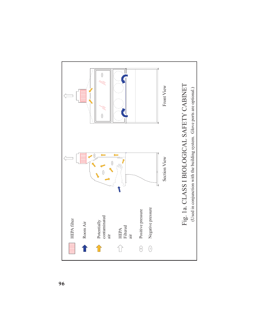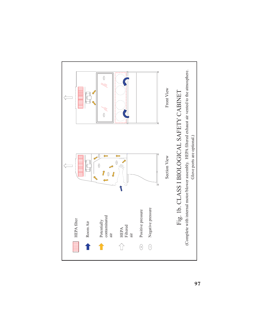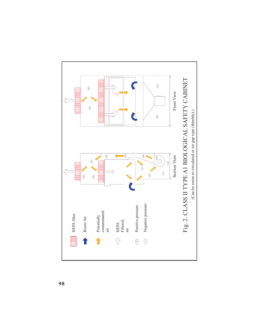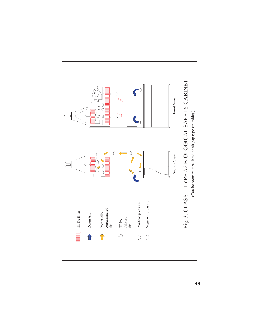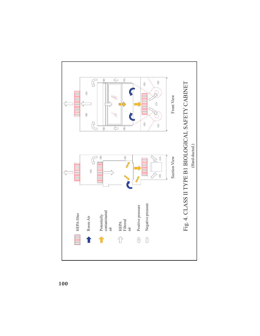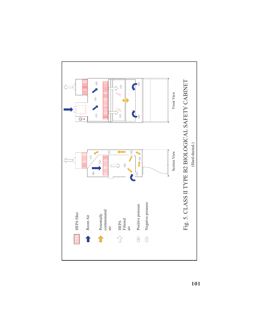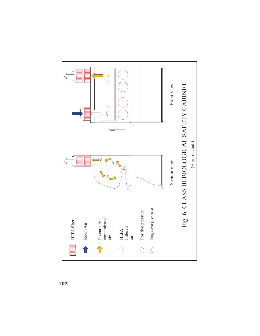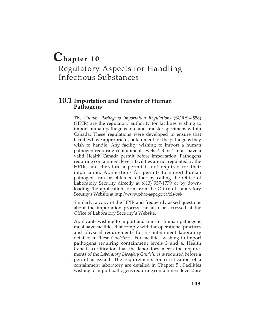## **Chapter 10** Regulatory Aspects for Handling Infectious Substances

### **10.1 Importation and Transfer of Human Pathogens**

The *Human Pathogens Importation Regulations* (SOR/94-558) (HPIR) are the regulatory authority for facilities wishing to import human pathogens into and transfer specimens within Canada. These regulations were developed to ensure that facilities have appropriate containment for the pathogens they wish to handle. Any facility wishing to import a human pathogen requiring containment levels 2, 3 or 4 must have a valid Health Canada permit before importation. Pathogens requiring containment level 1 facilities are not regulated by the HPIR, and therefore a permit is not required for their importation. Applications for permits to import human pathogens can be obtained either by calling the Office of Laboratory Security directly at (613) 957-1779 or by downloading the application form from the Office of Laboratory Security's Website at http://www.phac-aspc.gc.ca/ols-bsl/

Similarly, a copy of the HPIR and frequently asked questions about the importation process can also be accessed at the Office of Laboratory Security's Website.

Applicants wishing to import and transfer human pathogens must have facilities that comply with the operational practices and physical requirements for a containment laboratory detailed in these *Guidelines.* For facilities wishing to import pathogens requiring containment levels 3 and 4, Health Canada certification that the laboratory meets the requirements of the *Laboratory Biosafety Guidelines* is required before a permit is issued. The requirements for certification of a containment laboratory are detailed in Chapter 5 . Facilities wishing to import pathogens requiring containment level 2 are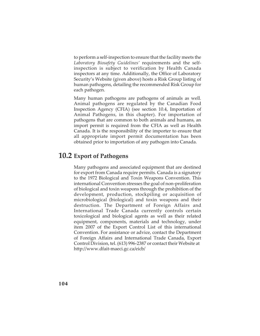to perform a self-inspection to ensure that the facility meets the *Laboratory Biosafety Guidelines'* requirements and the selfinspection is subject to verification by Health Canada inspectors at any time. Additionally, the Office of Laboratory Security's Website (given above) hosts a Risk Group listing of human pathogens, detailing the recommended Risk Group for each pathogen.

Many human pathogens are pathogens of animals as well. Animal pathogens are regulated by the Canadian Food Inspection Agency (CFIA) (see section 10.4, Importation of Animal Pathogens, in this chapter). For importation of pathogens that are common to both animals and humans, an import permit is required from the CFIA as well as Health Canada. It is the responsibility of the importer to ensure that all appropriate import permit documentation has been obtained prior to importation of any pathogen into Canada.

## **10.2 Export of Pathogens**

Many pathogens and associated equipment that are destined for export from Canada require permits. Canada is a signatory to the 1972 Biological and Toxin Weapons Convention. This international Convention stresses the goal of non-proliferation of biological and toxin weapons through the prohibition of the development, production, stockpiling or acquisition of microbiological (biological) and toxin weapons and their destruction. The Department of Foreign Affairs and International Trade Canada currently controls certain toxicological and biological agents as well as their related equipment, components, materials and technology, under item 2007 of the Export Control List of this international Convention. For assistance or advice, contact the Department of Foreign Affairs and International Trade Canada, Export Control Division, tel. (613) 996-2387 or contact their Website at http://www.dfait-maeci.gc.ca/eicb/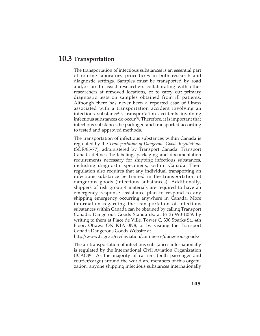## **10.3 Transportation**

The transportation of infectious substances is an essential part of routine laboratory procedures in both research and diagnostic settings. Samples must be transported by road and/or air to assist researchers collaborating with other researchers at removed locations, or to carry out primary diagnostic tests on samples obtained from ill patients. Although there has never been a reported case of illness associated with a transportation accident involving an infectious substance $(1)$ , transportation accidents involving infectious substances do occur<sup>(2)</sup>. Therefore, it is important that infectious substances be packaged and transported according to tested and approved methods.

The transportation of infectious substances within Canada is regulated by the *Transportation of Dangerous Goods Regulations* (SOR/85-77), administered by Transport Canada. Transport Canada defines the labeling, packaging and documentation requirements necessary for shipping infectious substances, including diagnostic specimens, within Canada. Their regulation also requires that any individual transporting an infectious substance be trained in the transportation of dangerous goods (infectious substances). Additionally, shippers of risk group 4 materials are required to have an emergency response assistance plan to respond to any shipping emergency occurring anywhere in Canada. More information regarding the transportation of infectious substances within Canada can be obtained by calling Transport Canada, Dangerous Goods Standards, at (613) 990-1059, by writing to them at Place de Ville, Tower C, 330 Sparks St., 4th Floor, Ottawa ON K1A 0N8, or by visiting the Transport Canada Dangerous Goods Website at

http://www.tc.gc.ca/civilaviation/commerce/dangerousgoods/

The air transportation of infectious substances internationally is regulated by the International Civil Aviation Organization  $(ICAO)^{(3)}$ . As the majority of carriers (both passenger and courier/cargo) around the world are members of this organization, anyone shipping infectious substances internationally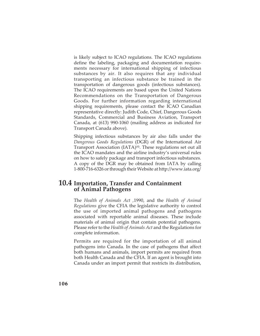is likely subject to ICAO regulations. The ICAO regulations define the labeling, packaging and documentation requirements necessary for international shipping of infectious substances by air. It also requires that any individual transporting an infectious substance be trained in the transportation of dangerous goods (infectious substances). The ICAO requirements are based upon the United Nations Recommendations on the Transportation of Dangerous Goods. For further information regarding international shipping requirements, please contact the ICAO Canadian representative directly: Judith Code, Chief, Dangerous Goods Standards, Commercial and Business Aviation, Transport Canada, at (613) 990-1060 (mailing address as indicated for Transport Canada above).

Shipping infectious substances by air also falls under the *Dangerous Goods Regulations* (DGR) of the International Air Transport Association  $(IATA)^{(4)}$ . These regulations set out all the ICAO mandates and the airline industry's universal rules on how to safely package and transport infectious substances. A copy of the DGR may be obtained from IATA by calling 1-800-716-6326 or through their Website at http://www.iata.org/

### **10.4 Importation, Transfer and Containment of Animal Pathogens**

The *Health of Animals Act ,*1990, and the *Health of Animal Regulations* give the CFIA the legislative authority to control the use of imported animal pathogens and pathogens associated with reportable animal diseases. These include materials of animal origin that contain potential pathogens. Please refer to the *Health of Animals Act* and the Regulations for complete information.

Permits are required for the importation of all animal pathogens into Canada. In the case of pathogens that affect both humans and animals, import permits are required from both Health Canada and the CFIA. If an agent is brought into Canada under an import permit that restricts its distribution,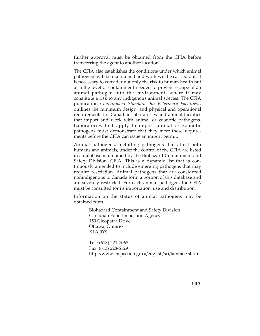further approval must be obtained from the CFIA before transferring the agent to another location.

The CFIA also establishes the conditions under which animal pathogens will be maintained and work will be carried out. It is necessary to consider not only the risk to human health but also the level of containment needed to prevent escape of an animal pathogen into the environment, where it may constitute a risk to any indigenous animal species. The CFIA publication *Containment Standards for Veterinary Facilities*<sup>(5)</sup> outlines the minimum design, and physical and operational requirements for Canadian laboratories and animal facilities that import and work with animal or zoonotic pathogens. Laboratories that apply to import animal or zoonotic pathogens must demonstrate that they meet these requirements before the CFIA can issue an import permit.

Animal pathogens, including pathogens that affect both humans and animals, under the control of the CFIA are listed in a database maintained by the Biohazard Containment and Safety Division, CFIA. This is a dynamic list that is continuously amended to include emerging pathogens that may require restriction. Animal pathogens that are considered nonindigenous to Canada form a portion of this database and are severely restricted. For each animal pathogen, the CFIA must be consulted for its importation, use and distribution.

Information on the status of animal pathogens may be obtained from

> Biohazard Containment and Safety Division Canadian Food Inspection Agency 159 Cleopatra Drive Ottawa, Ontario K1A 0Y9

Tel.: (613) 221-7068 Fax: (613) 228-6129 http://www.inspection.gc.ca/english/sci/lab/bioe.shtml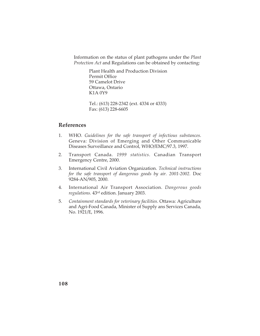Information on the status of plant pathogens under the *Plant Protection Act* and Regulations can be obtained by contacting:

> Plant Health and Production Division Permit Office 59 Camelot Drive Ottawa, Ontario K1A 0Y9

Tel.: (613) 228-2342 (ext. 4334 or 4333) Fax: (613) 228-6605

#### **References**

- 1. WHO. *Guidelines for the safe transport of infectious substances*. Geneva: Division of Emerging and Other Communicable Diseases Surveillance and Control, WHO/EMC/97.3, 1997.
- 2. Transport Canada. *1999 statistics*. Canadian Transport Emergency Centre, 2000.
- 3. International Civil Aviation Organization. *Technical instructions for the safe transport of dangerous goods by air. 2001-2002.* Doc 9284-AN/905, 2000.
- 4. International Air Transport Association. *Dangerous goods regulations.* 43rd edition. January 2003.
- 5. *Containment standards for veterinary facilities*. Ottawa: Agriculture and Agri-Food Canada, Minister of Supply ans Services Canada, No. 1921/E, 1996.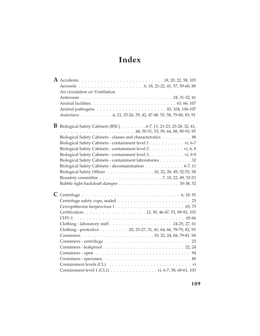# **Index**

| Air circulation see Ventilation                                                                  |
|--------------------------------------------------------------------------------------------------|
|                                                                                                  |
|                                                                                                  |
|                                                                                                  |
| Autoclave 6, 21, 25-26, 39, 42, 47-48, 55, 58, 79-80, 83, 91                                     |
|                                                                                                  |
| <b>B</b> Biological Safety Cabinets (BSC) $\ldots \ldots \ldots 6-7$ , 11, 21-23, 25-28, 32, 41, |
|                                                                                                  |
| Biological Safety Cabinets - classes and characteristics 88                                      |
| Biological Safety Cabinets - containment level 1. vi, 6-7                                        |
| Biological Safety Cabinets - containment level 2. vi, 6, 8                                       |
| Biological Safety Cabinets - containment level 3. vi, 8-9                                        |
| Biological Safety Cabinets - containment laboratories 32                                         |
| Biological Safety Cabinets - decontamination 6-7, 11                                             |
| Biological Safety Officer 10, 22, 28, 49, 52-53, 58                                              |
|                                                                                                  |
|                                                                                                  |
|                                                                                                  |
|                                                                                                  |
|                                                                                                  |
|                                                                                                  |
|                                                                                                  |
|                                                                                                  |
|                                                                                                  |
| Clothing - protective 20, 25-27, 31, 41, 64, 66, 78-79, 82, 93                                   |
|                                                                                                  |
|                                                                                                  |
|                                                                                                  |
|                                                                                                  |
|                                                                                                  |
|                                                                                                  |
|                                                                                                  |
|                                                                                                  |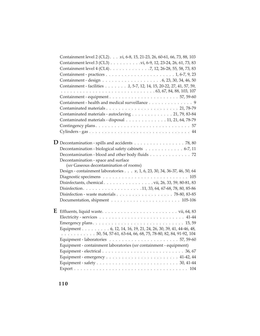| Containment level 2 (CL2). vi, 6-8, 15, 21-23, 26, 60-61, 66, 73, 88, 103                                       |
|-----------------------------------------------------------------------------------------------------------------|
|                                                                                                                 |
| Containment level 4 (CL4) 7, 12, 26-28, 55, 58, 73, 83                                                          |
|                                                                                                                 |
|                                                                                                                 |
| Containment - facilities 1, 5-7, 12, 14, 15, 20-22, 27, 41, 57, 59,                                             |
|                                                                                                                 |
|                                                                                                                 |
| Containment - health and medical surveillance 9                                                                 |
|                                                                                                                 |
| Contaminated materials - autoclaving 21, 79, 83-84                                                              |
| Contaminated materials - disposal 11, 21, 64, 78-79                                                             |
|                                                                                                                 |
|                                                                                                                 |
|                                                                                                                 |
| $\bf{D}$ Decontamination - spills and accidents $\dots \dots \dots \dots \dots \dots \dots$ 78, 80              |
| Decontamination - biological safety cabinets 6-7, 11                                                            |
| Decontamination - blood and other body fluids 72                                                                |
| Decontamination - space and surface                                                                             |
| (see Gaseous decontamination of rooms)                                                                          |
| Design - containment laboratories v, 1, 6, 23, 30, 34, 36-37, 46, 50, 64                                        |
|                                                                                                                 |
|                                                                                                                 |
|                                                                                                                 |
|                                                                                                                 |
|                                                                                                                 |
|                                                                                                                 |
| ${\bf E} \;$ Effluents, liquid waste. $\dots \dots \dots \dots \dots \dots \dots \dots \dots \dots$ vii, 64, 83 |
|                                                                                                                 |
|                                                                                                                 |
| Equipment 6, 12, 14, 16, 19, 21, 24, 26, 30, 39, 41, 44-46, 48,                                                 |
| $\ldots \ldots \ldots \ldots 50, 54, 57-61, 63-64, 66, 68, 75, 78-80, 82, 84, 91-92, 104$                       |
|                                                                                                                 |
| Equipment - containment laboratories (see containment - equipment)                                              |
|                                                                                                                 |
|                                                                                                                 |
|                                                                                                                 |
|                                                                                                                 |
|                                                                                                                 |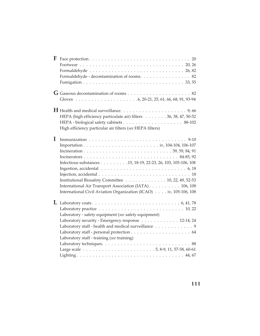| F           |                                                                   |
|-------------|-------------------------------------------------------------------|
|             |                                                                   |
|             |                                                                   |
|             | Formaldehyde - decontamination of rooms. 82                       |
|             |                                                                   |
|             |                                                                   |
|             |                                                                   |
|             |                                                                   |
|             | HEPA (high efficiency particulate air) filters 36, 38, 47, 50-52  |
|             |                                                                   |
|             | High efficiency particular air filters (see HEPA filters)         |
| $\mathbf I$ |                                                                   |
|             |                                                                   |
|             |                                                                   |
|             |                                                                   |
|             | Infectious substances 15, 18-19, 22-23, 26, 103, 105-106, 108     |
|             |                                                                   |
|             |                                                                   |
|             | Institutional Biosafety Committee 10, 22, 49, 52-53               |
|             | International Air Transport Association (IATA) 106, 108           |
|             | International Civil Aviation Organization (ICAO) iv, 105-106, 108 |
|             |                                                                   |
|             |                                                                   |
|             | Laboratory - safety equipment (see safety equipment)              |
|             | Laboratory security - Emergency response 12-14, 24                |
|             | Laboratory staff - health and medical surveillance 9              |
|             |                                                                   |
|             | Laboratory staff - training (see training)                        |
|             |                                                                   |
|             |                                                                   |
|             |                                                                   |
|             |                                                                   |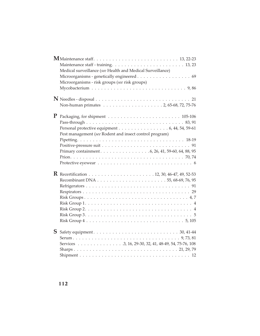|           | Medical surveillance (see Health and Medical Surveillance)<br>Microorganisms - genetically engineered 69 |  |
|-----------|----------------------------------------------------------------------------------------------------------|--|
|           | Microorganisms - risk groups (see risk groups)                                                           |  |
|           |                                                                                                          |  |
|           |                                                                                                          |  |
|           |                                                                                                          |  |
|           |                                                                                                          |  |
| ${\bf P}$ |                                                                                                          |  |
|           |                                                                                                          |  |
|           | Personal protective equipment 6, 44, 54, 59-61                                                           |  |
|           | Pest management (see Rodent and insect control program)                                                  |  |
|           |                                                                                                          |  |
|           |                                                                                                          |  |
|           |                                                                                                          |  |
|           |                                                                                                          |  |
|           |                                                                                                          |  |
|           |                                                                                                          |  |
|           |                                                                                                          |  |
|           |                                                                                                          |  |
|           |                                                                                                          |  |
|           |                                                                                                          |  |
|           |                                                                                                          |  |
|           |                                                                                                          |  |
|           |                                                                                                          |  |
|           |                                                                                                          |  |
| S         |                                                                                                          |  |
|           |                                                                                                          |  |
|           | Services 3, 16, 29-30, 32, 41, 48-49, 54, 75-76, 108                                                     |  |
|           |                                                                                                          |  |
|           |                                                                                                          |  |